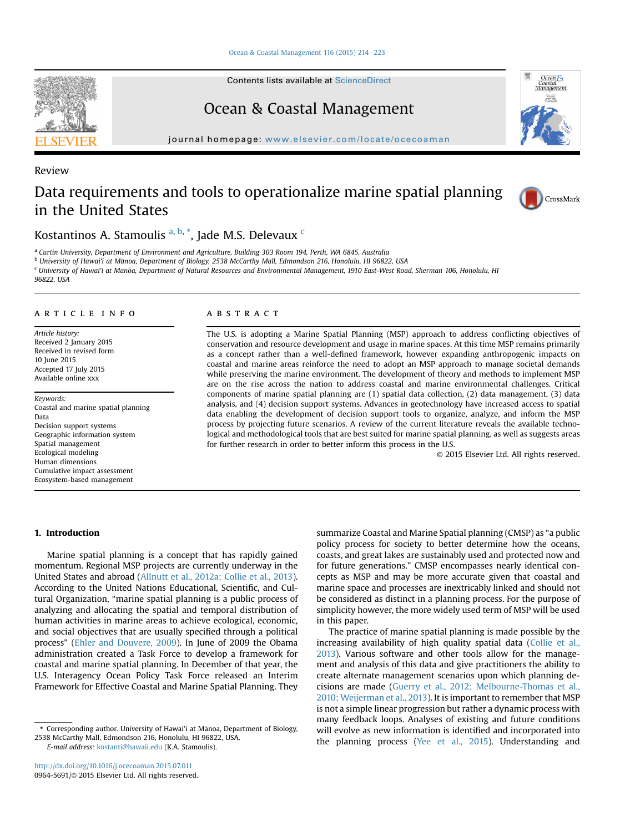#### [Ocean & Coastal Management 116 \(2015\) 214](http://dx.doi.org/10.1016/j.ocecoaman.2015.07.011)-[223](http://dx.doi.org/10.1016/j.ocecoaman.2015.07.011)

Contents lists available at ScienceDirect

# Ocean & Coastal Management

journal homepage: [www.elsevier.com/locate/ocecoaman](http://www.elsevier.com/locate/ocecoaman)

# Data requirements and tools to operationalize marine spatial planning in the United States

Kostantinos A. Stamoulis <sup>a, b, \*</sup>, Jade M.S. Delevaux <sup>c</sup>

<sup>a</sup> Curtin University, Department of Environment and Agriculture, Building 303 Room 194, Perth, WA 6845, Australia

<sup>b</sup> University of Hawai'i at Manoa, Department of Biology, 2538 McCarthy Mall, Edmondson 216, Honolulu, HI 96822, USA

<sup>c</sup> University of Hawai'i at Manoa, Department of Natural Resources and Environmental Management, 1910 East-West Road, Sherman 106, Honolulu, HI

96822, USA

Review

## article info

Article history: Received 2 January 2015 Received in revised form 10 June 2015 Accepted 17 July 2015 Available online xxx

Keywords: Coastal and marine spatial planning Data Decision support systems Geographic information system Spatial management Ecological modeling Human dimensions Cumulative impact assessment Ecosystem-based management

# ABSTRACT

The U.S. is adopting a Marine Spatial Planning (MSP) approach to address conflicting objectives of conservation and resource development and usage in marine spaces. At this time MSP remains primarily as a concept rather than a well-defined framework, however expanding anthropogenic impacts on coastal and marine areas reinforce the need to adopt an MSP approach to manage societal demands while preserving the marine environment. The development of theory and methods to implement MSP are on the rise across the nation to address coastal and marine environmental challenges. Critical components of marine spatial planning are (1) spatial data collection, (2) data management, (3) data analysis, and (4) decision support systems. Advances in geotechnology have increased access to spatial data enabling the development of decision support tools to organize, analyze, and inform the MSP process by projecting future scenarios. A review of the current literature reveals the available technological and methodological tools that are best suited for marine spatial planning, as well as suggests areas for further research in order to better inform this process in the U.S.

© 2015 Elsevier Ltd. All rights reserved.

#### 1. Introduction

Marine spatial planning is a concept that has rapidly gained momentum. Regional MSP projects are currently underway in the United States and abroad [\(Allnutt et al., 2012a; Collie et al., 2013\)](#page-7-0). According to the United Nations Educational, Scientific, and Cultural Organization, "marine spatial planning is a public process of analyzing and allocating the spatial and temporal distribution of human activities in marine areas to achieve ecological, economic, and social objectives that are usually specified through a political process" [\(Ehler and Douvere, 2009](#page-7-0)). In June of 2009 the Obama administration created a Task Force to develop a framework for coastal and marine spatial planning. In December of that year, the U.S. Interagency Ocean Policy Task Force released an Interim Framework for Effective Coastal and Marine Spatial Planning. They

E-mail address: [kostanti@hawaii.edu](mailto:kostanti@hawaii.edu) (K.A. Stamoulis).

summarize Coastal and Marine Spatial planning (CMSP) as "a public policy process for society to better determine how the oceans, coasts, and great lakes are sustainably used and protected now and for future generations." CMSP encompasses nearly identical concepts as MSP and may be more accurate given that coastal and marine space and processes are inextricably linked and should not be considered as distinct in a planning process. For the purpose of simplicity however, the more widely used term of MSP will be used in this paper.

The practice of marine spatial planning is made possible by the increasing availability of high quality spatial data ([Collie et al.,](#page-7-0) [2013\)](#page-7-0). Various software and other tools allow for the management and analysis of this data and give practitioners the ability to create alternate management scenarios upon which planning decisions are made [\(Guerry et al., 2012; Melbourne-Thomas et al.,](#page-7-0) [2010; Weijerman et al., 2013](#page-7-0)). It is important to remember that MSP is not a simple linear progression but rather a dynamic process with many feedback loops. Analyses of existing and future conditions will evolve as new information is identified and incorporated into the planning process ([Yee et al., 2015](#page-9-0)). Understanding and







<sup>\*</sup> Corresponding author. University of Hawai'i at M anoa, Department of Biology, 2538 McCarthy Mall, Edmondson 216, Honolulu, HI 96822, USA.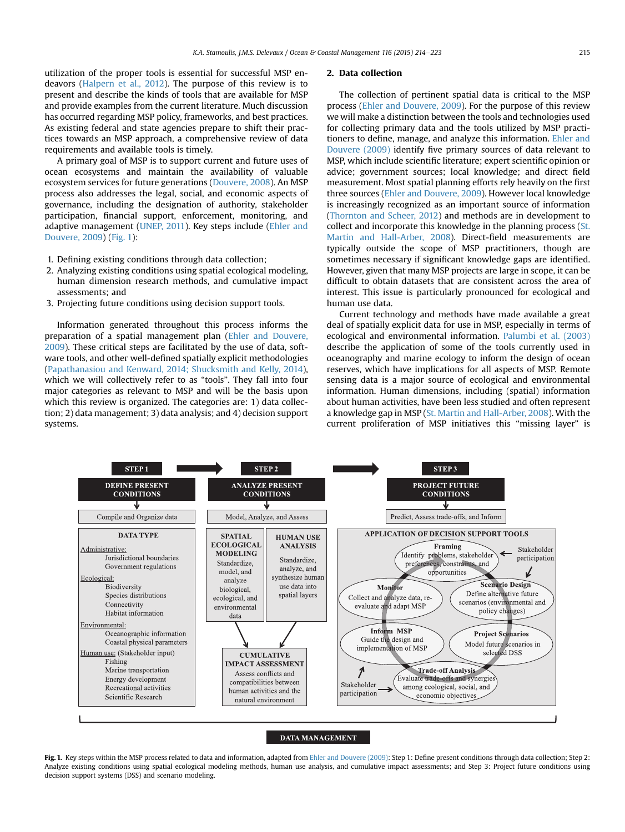utilization of the proper tools is essential for successful MSP endeavors ([Halpern et al., 2012\)](#page-7-0). The purpose of this review is to present and describe the kinds of tools that are available for MSP and provide examples from the current literature. Much discussion has occurred regarding MSP policy, frameworks, and best practices. As existing federal and state agencies prepare to shift their practices towards an MSP approach, a comprehensive review of data requirements and available tools is timely.

A primary goal of MSP is to support current and future uses of ocean ecosystems and maintain the availability of valuable ecosystem services for future generations ([Douvere, 2008\)](#page-7-0). An MSP process also addresses the legal, social, and economic aspects of governance, including the designation of authority, stakeholder participation, financial support, enforcement, monitoring, and adaptive management [\(UNEP, 2011](#page-9-0)). Key steps include ([Ehler and](#page-7-0) [Douvere, 2009\)](#page-7-0) (Fig. 1):

- 1. Defining existing conditions through data collection;
- 2. Analyzing existing conditions using spatial ecological modeling, human dimension research methods, and cumulative impact assessments; and
- 3. Projecting future conditions using decision support tools.

Information generated throughout this process informs the preparation of a spatial management plan ([Ehler and Douvere,](#page-7-0) [2009\)](#page-7-0). These critical steps are facilitated by the use of data, software tools, and other well-defined spatially explicit methodologies ([Papathanasiou and Kenward, 2014; Shucksmith and Kelly, 2014\)](#page-8-0), which we will collectively refer to as "tools". They fall into four major categories as relevant to MSP and will be the basis upon which this review is organized. The categories are: 1) data collection; 2) data management; 3) data analysis; and 4) decision support systems.

### 2. Data collection

The collection of pertinent spatial data is critical to the MSP process [\(Ehler and Douvere, 2009\)](#page-7-0). For the purpose of this review we will make a distinction between the tools and technologies used for collecting primary data and the tools utilized by MSP practitioners to define, manage, and analyze this information. [Ehler and](#page-7-0) [Douvere \(2009\)](#page-7-0) identify five primary sources of data relevant to MSP, which include scientific literature; expert scientific opinion or advice; government sources; local knowledge; and direct field measurement. Most spatial planning efforts rely heavily on the first three sources ([Ehler and Douvere, 2009\)](#page-7-0). However local knowledge is increasingly recognized as an important source of information ([Thornton and Scheer, 2012\)](#page-9-0) and methods are in development to collect and incorporate this knowledge in the planning process [\(St.](#page-9-0) [Martin and Hall-Arber, 2008\)](#page-9-0). Direct-field measurements are typically outside the scope of MSP practitioners, though are sometimes necessary if significant knowledge gaps are identified. However, given that many MSP projects are large in scope, it can be difficult to obtain datasets that are consistent across the area of interest. This issue is particularly pronounced for ecological and human use data.

Current technology and methods have made available a great deal of spatially explicit data for use in MSP, especially in terms of ecological and environmental information. [Palumbi et al. \(2003\)](#page-8-0) describe the application of some of the tools currently used in oceanography and marine ecology to inform the design of ocean reserves, which have implications for all aspects of MSP. Remote sensing data is a major source of ecological and environmental information. Human dimensions, including (spatial) information about human activities, have been less studied and often represent a knowledge gap in MSP ([St. Martin and Hall-Arber, 2008\)](#page-9-0). With the current proliferation of MSP initiatives this "missing layer" is



DATA MANAGEMENT

Fig. 1. Key steps within the MSP process related to data and information, adapted from [Ehler and Douvere \(2009\):](#page-7-0) Step 1: Define present conditions through data collection; Step 2: Analyze existing conditions using spatial ecological modeling methods, human use analysis, and cumulative impact assessments; and Step 3: Project future conditions using decision support systems (DSS) and scenario modeling.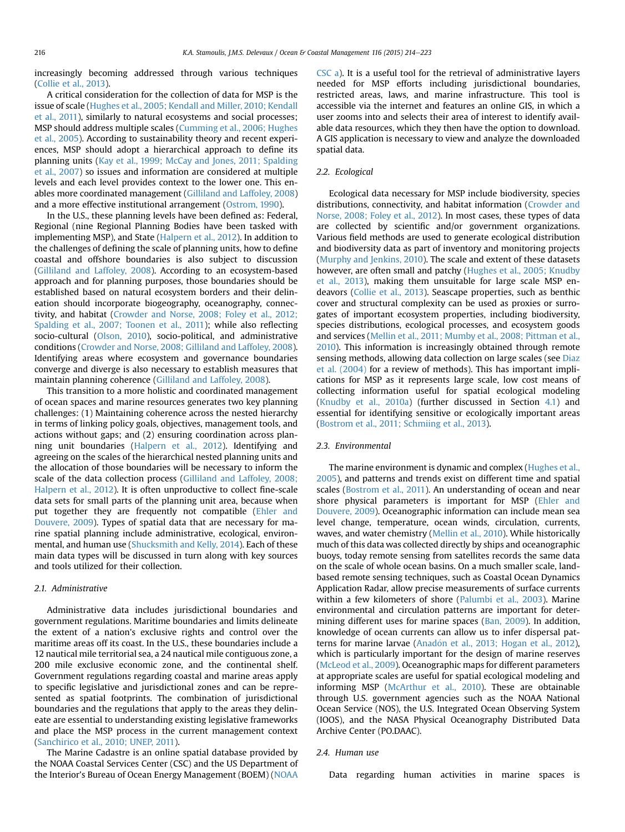increasingly becoming addressed through various techniques ([Collie et al., 2013](#page-7-0)).

A critical consideration for the collection of data for MSP is the issue of scale ([Hughes et al., 2005; Kendall and Miller, 2010; Kendall](#page-8-0) [et al., 2011](#page-8-0)), similarly to natural ecosystems and social processes; MSP should address multiple scales ([Cumming et al., 2006; Hughes](#page-7-0) [et al., 2005](#page-7-0)). According to sustainability theory and recent experiences, MSP should adopt a hierarchical approach to define its planning units [\(Kay et al., 1999; McCay and Jones, 2011; Spalding](#page-8-0) [et al., 2007\)](#page-8-0) so issues and information are considered at multiple levels and each level provides context to the lower one. This enables more coordinated management [\(Gilliland and Laffoley, 2008\)](#page-7-0) and a more effective institutional arrangement ([Ostrom, 1990\)](#page-8-0).

In the U.S., these planning levels have been defined as: Federal, Regional (nine Regional Planning Bodies have been tasked with implementing MSP), and State ([Halpern et al., 2012\)](#page-7-0). In addition to the challenges of defining the scale of planning units, how to define coastal and offshore boundaries is also subject to discussion ([Gilliland and Laffoley, 2008](#page-7-0)). According to an ecosystem-based approach and for planning purposes, those boundaries should be established based on natural ecosystem borders and their delineation should incorporate biogeography, oceanography, connectivity, and habitat [\(Crowder and Norse, 2008; Foley et al., 2012;](#page-7-0) [Spalding et al., 2007; Toonen et al., 2011\)](#page-7-0); while also reflecting socio-cultural ([Olson, 2010\)](#page-8-0), socio-political, and administrative conditions [\(Crowder and Norse, 2008; Gilliland and Laffoley, 2008\)](#page-7-0). Identifying areas where ecosystem and governance boundaries converge and diverge is also necessary to establish measures that maintain planning coherence [\(Gilliland and Laffoley, 2008\)](#page-7-0).

This transition to a more holistic and coordinated management of ocean spaces and marine resources generates two key planning challenges: (1) Maintaining coherence across the nested hierarchy in terms of linking policy goals, objectives, management tools, and actions without gaps; and (2) ensuring coordination across planning unit boundaries ([Halpern et al., 2012\)](#page-7-0). Identifying and agreeing on the scales of the hierarchical nested planning units and the allocation of those boundaries will be necessary to inform the scale of the data collection process ([Gilliland and Laffoley, 2008;](#page-7-0) [Halpern et al., 2012](#page-7-0)). It is often unproductive to collect fine-scale data sets for small parts of the planning unit area, because when put together they are frequently not compatible [\(Ehler and](#page-7-0) [Douvere, 2009\)](#page-7-0). Types of spatial data that are necessary for marine spatial planning include administrative, ecological, environmental, and human use [\(Shucksmith and Kelly, 2014\)](#page-9-0). Each of these main data types will be discussed in turn along with key sources and tools utilized for their collection.

# 2.1. Administrative

Administrative data includes jurisdictional boundaries and government regulations. Maritime boundaries and limits delineate the extent of a nation's exclusive rights and control over the maritime areas off its coast. In the U.S., these boundaries include a 12 nautical mile territorial sea, a 24 nautical mile contiguous zone, a 200 mile exclusive economic zone, and the continental shelf. Government regulations regarding coastal and marine areas apply to specific legislative and jurisdictional zones and can be represented as spatial footprints. The combination of jurisdictional boundaries and the regulations that apply to the areas they delineate are essential to understanding existing legislative frameworks and place the MSP process in the current management context ([Sanchirico et al., 2010; UNEP, 2011](#page-8-0)).

The Marine Cadastre is an online spatial database provided by the NOAA Coastal Services Center (CSC) and the US Department of the Interior's Bureau of Ocean Energy Management (BOEM) [\(NOAA](#page-8-0) [CSC a](#page-8-0)). It is a useful tool for the retrieval of administrative layers needed for MSP efforts including jurisdictional boundaries, restricted areas, laws, and marine infrastructure. This tool is accessible via the internet and features an online GIS, in which a user zooms into and selects their area of interest to identify available data resources, which they then have the option to download. A GIS application is necessary to view and analyze the downloaded spatial data.

### 2.2. Ecological

Ecological data necessary for MSP include biodiversity, species distributions, connectivity, and habitat information [\(Crowder and](#page-7-0) [Norse, 2008; Foley et al., 2012\)](#page-7-0). In most cases, these types of data are collected by scientific and/or government organizations. Various field methods are used to generate ecological distribution and biodiversity data as part of inventory and monitoring projects ([Murphy and Jenkins, 2010](#page-8-0)). The scale and extent of these datasets however, are often small and patchy [\(Hughes et al., 2005; Knudby](#page-8-0) [et al., 2013\)](#page-8-0), making them unsuitable for large scale MSP endeavors [\(Collie et al., 2013\)](#page-7-0). Seascape properties, such as benthic cover and structural complexity can be used as proxies or surrogates of important ecosystem properties, including biodiversity, species distributions, ecological processes, and ecosystem goods and services [\(Mellin et al., 2011; Mumby et al., 2008; Pittman et al.,](#page-8-0) [2010\)](#page-8-0). This information is increasingly obtained through remote sensing methods, allowing data collection on large scales (see [Diaz](#page-7-0) [et al. \(2004\)](#page-7-0) for a review of methods). This has important implications for MSP as it represents large scale, low cost means of collecting information useful for spatial ecological modeling ([Knudby et al., 2010a\)](#page-8-0) (further discussed in Section [4.1](#page-3-0)) and essential for identifying sensitive or ecologically important areas ([Bostrom et al., 2011; Schmiing et al., 2013](#page-7-0)).

#### 2.3. Environmental

The marine environment is dynamic and complex [\(Hughes et al.,](#page-8-0) [2005](#page-8-0)), and patterns and trends exist on different time and spatial scales ([Bostrom et al., 2011](#page-7-0)). An understanding of ocean and near shore physical parameters is important for MSP [\(Ehler and](#page-7-0) [Douvere, 2009](#page-7-0)). Oceanographic information can include mean sea level change, temperature, ocean winds, circulation, currents, waves, and water chemistry [\(Mellin et al., 2010](#page-8-0)). While historically much of this data was collected directly by ships and oceanographic buoys, today remote sensing from satellites records the same data on the scale of whole ocean basins. On a much smaller scale, landbased remote sensing techniques, such as Coastal Ocean Dynamics Application Radar, allow precise measurements of surface currents within a few kilometers of shore [\(Palumbi et al., 2003](#page-8-0)). Marine environmental and circulation patterns are important for determining different uses for marine spaces [\(Ban, 2009\)](#page-7-0). In addition, knowledge of ocean currents can allow us to infer dispersal patterns for marine larvae (Anadón et al., 2013; Hogan et al., 2012), which is particularly important for the design of marine reserves ([McLeod et al., 2009\)](#page-8-0). Oceanographic maps for different parameters at appropriate scales are useful for spatial ecological modeling and informing MSP ([McArthur et al., 2010](#page-8-0)). These are obtainable through U.S. government agencies such as the NOAA National Ocean Service (NOS), the U.S. Integrated Ocean Observing System (IOOS), and the NASA Physical Oceanography Distributed Data Archive Center (PO.DAAC).

## 2.4. Human use

Data regarding human activities in marine spaces is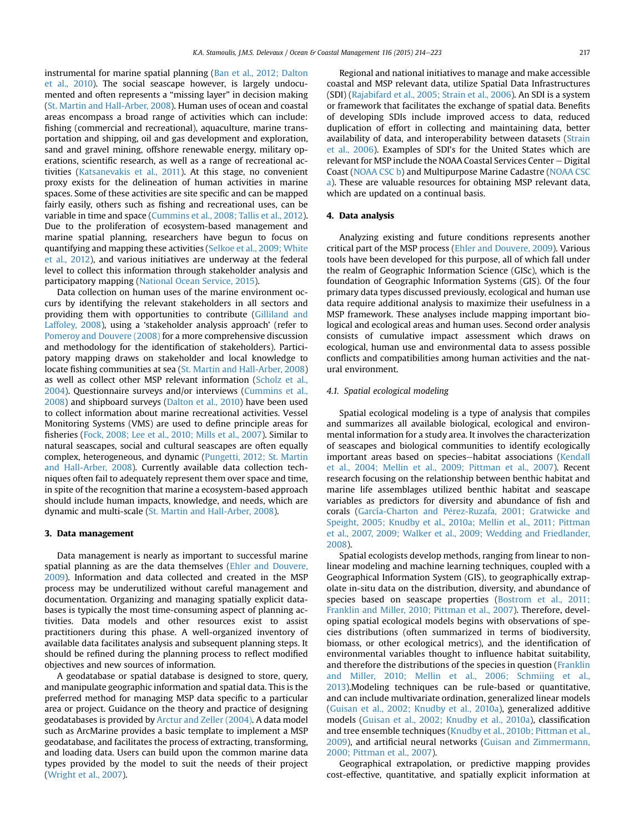<span id="page-3-0"></span>instrumental for marine spatial planning [\(Ban et al., 2012; Dalton](#page-7-0) [et al., 2010](#page-7-0)). The social seascape however, is largely undocumented and often represents a "missing layer" in decision making ([St. Martin and Hall-Arber, 2008\)](#page-9-0). Human uses of ocean and coastal areas encompass a broad range of activities which can include: fishing (commercial and recreational), aquaculture, marine transportation and shipping, oil and gas development and exploration, sand and gravel mining, offshore renewable energy, military operations, scientific research, as well as a range of recreational activities [\(Katsanevakis et al., 2011](#page-8-0)). At this stage, no convenient proxy exists for the delineation of human activities in marine spaces. Some of these activities are site specific and can be mapped fairly easily, others such as fishing and recreational uses, can be variable in time and space ([Cummins et al., 2008; Tallis et al., 2012\)](#page-7-0). Due to the proliferation of ecosystem-based management and marine spatial planning, researchers have begun to focus on quantifying and mapping these activities [\(Selkoe et al., 2009; White](#page-8-0) [et al., 2012\)](#page-8-0), and various initiatives are underway at the federal level to collect this information through stakeholder analysis and participatory mapping ([National Ocean Service, 2015\)](#page-8-0).

Data collection on human uses of the marine environment occurs by identifying the relevant stakeholders in all sectors and providing them with opportunities to contribute [\(Gilliland and](#page-7-0) [Laffoley, 2008](#page-7-0)), using a 'stakeholder analysis approach' (refer to [Pomeroy and Douvere \(2008\)](#page-8-0) for a more comprehensive discussion and methodology for the identification of stakeholders). Participatory mapping draws on stakeholder and local knowledge to locate fishing communities at sea ([St. Martin and Hall-Arber, 2008\)](#page-9-0) as well as collect other MSP relevant information [\(Scholz et al.,](#page-8-0) [2004\)](#page-8-0). Questionnaire surveys and/or interviews [\(Cummins et al.,](#page-7-0) [2008\)](#page-7-0) and shipboard surveys [\(Dalton et al., 2010](#page-7-0)) have been used to collect information about marine recreational activities. Vessel Monitoring Systems (VMS) are used to define principle areas for fisheries ([Fock, 2008; Lee et al., 2010; Mills et al., 2007\)](#page-7-0). Similar to natural seascapes, social and cultural seascapes are often equally complex, heterogeneous, and dynamic [\(Pungetti, 2012; St. Martin](#page-8-0) [and Hall-Arber, 2008\)](#page-8-0). Currently available data collection techniques often fail to adequately represent them over space and time, in spite of the recognition that marine a ecosystem-based approach should include human impacts, knowledge, and needs, which are dynamic and multi-scale ([St. Martin and Hall-Arber, 2008](#page-9-0)).

#### 3. Data management

Data management is nearly as important to successful marine spatial planning as are the data themselves [\(Ehler and Douvere,](#page-7-0) [2009\)](#page-7-0). Information and data collected and created in the MSP process may be underutilized without careful management and documentation. Organizing and managing spatially explicit databases is typically the most time-consuming aspect of planning activities. Data models and other resources exist to assist practitioners during this phase. A well-organized inventory of available data facilitates analysis and subsequent planning steps. It should be refined during the planning process to reflect modified objectives and new sources of information.

A geodatabase or spatial database is designed to store, query, and manipulate geographic information and spatial data. This is the preferred method for managing MSP data specific to a particular area or project. Guidance on the theory and practice of designing geodatabases is provided by [Arctur and Zeller \(2004\)](#page-7-0). A data model such as ArcMarine provides a basic template to implement a MSP geodatabase, and facilitates the process of extracting, transforming, and loading data. Users can build upon the common marine data types provided by the model to suit the needs of their project ([Wright et al., 2007\)](#page-9-0).

Regional and national initiatives to manage and make accessible coastal and MSP relevant data, utilize Spatial Data Infrastructures (SDI) [\(Rajabifard et al., 2005; Strain et al., 2006](#page-8-0)). An SDI is a system or framework that facilitates the exchange of spatial data. Benefits of developing SDIs include improved access to data, reduced duplication of effort in collecting and maintaining data, better availability of data, and interoperability between datasets ([Strain](#page-9-0) [et al., 2006](#page-9-0)). Examples of SDI's for the United States which are relevant for MSP include the NOAA Coastal Services Center  $-$  Digital Coast [\(NOAA CSC b\)](#page-8-0) and Multipurpose Marine Cadastre ([NOAA CSC](#page-8-0) [a\)](#page-8-0). These are valuable resources for obtaining MSP relevant data, which are updated on a continual basis.

#### 4. Data analysis

Analyzing existing and future conditions represents another critical part of the MSP process ([Ehler and Douvere, 2009\)](#page-7-0). Various tools have been developed for this purpose, all of which fall under the realm of Geographic Information Science (GISc), which is the foundation of Geographic Information Systems (GIS). Of the four primary data types discussed previously, ecological and human use data require additional analysis to maximize their usefulness in a MSP framework. These analyses include mapping important biological and ecological areas and human uses. Second order analysis consists of cumulative impact assessment which draws on ecological, human use and environmental data to assess possible conflicts and compatibilities among human activities and the natural environment.

## 4.1. Spatial ecological modeling

Spatial ecological modeling is a type of analysis that compiles and summarizes all available biological, ecological and environmental information for a study area. It involves the characterization of seascapes and biological communities to identify ecologically important areas based on species-habitat associations [\(Kendall](#page-8-0) [et al., 2004; Mellin et al., 2009; Pittman et al., 2007\)](#page-8-0). Recent research focusing on the relationship between benthic habitat and marine life assemblages utilized benthic habitat and seascape variables as predictors for diversity and abundance of fish and corals [\(García-Charton and P](#page-7-0)é[rez-Ruzafa, 2001; Gratwicke and](#page-7-0) [Speight, 2005; Knudby et al., 2010a; Mellin et al., 2011; Pittman](#page-7-0) [et al., 2007, 2009; Walker et al., 2009; Wedding and Friedlander,](#page-7-0) [2008\)](#page-7-0).

Spatial ecologists develop methods, ranging from linear to nonlinear modeling and machine learning techniques, coupled with a Geographical Information System (GIS), to geographically extrapolate in-situ data on the distribution, diversity, and abundance of species based on seascape properties ([Bostrom et al., 2011;](#page-7-0) [Franklin and Miller, 2010; Pittman et al., 2007](#page-7-0)). Therefore, developing spatial ecological models begins with observations of species distributions (often summarized in terms of biodiversity, biomass, or other ecological metrics), and the identification of environmental variables thought to influence habitat suitability, and therefore the distributions of the species in question [\(Franklin](#page-7-0) [and Miller, 2010; Mellin et al., 2006; Schmiing et al.,](#page-7-0) [2013\)](#page-7-0).Modeling techniques can be rule-based or quantitative, and can include multivariate ordination, generalized linear models ([Guisan et al., 2002; Knudby et al., 2010a\)](#page-7-0), generalized additive models ([Guisan et al., 2002; Knudby et al., 2010a](#page-7-0)), classification and tree ensemble techniques ([Knudby et al., 2010b; Pittman et al.,](#page-8-0) [2009\)](#page-8-0), and artificial neural networks [\(Guisan and Zimmermann,](#page-7-0) [2000; Pittman et al., 2007\)](#page-7-0).

Geographical extrapolation, or predictive mapping provides cost-effective, quantitative, and spatially explicit information at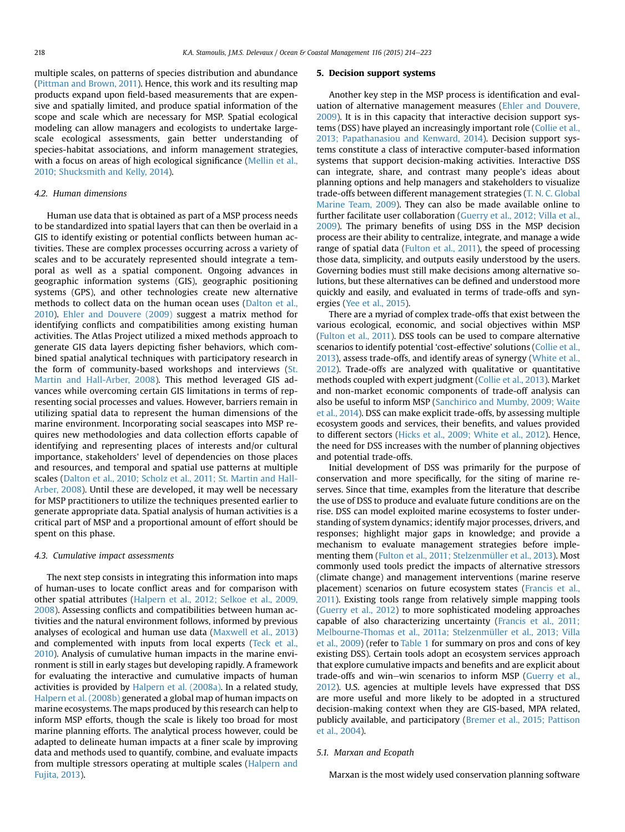multiple scales, on patterns of species distribution and abundance ([Pittman and Brown, 2011](#page-8-0)). Hence, this work and its resulting map products expand upon field-based measurements that are expensive and spatially limited, and produce spatial information of the scope and scale which are necessary for MSP. Spatial ecological modeling can allow managers and ecologists to undertake largescale ecological assessments, gain better understanding of species-habitat associations, and inform management strategies, with a focus on areas of high ecological significance ([Mellin et al.,](#page-8-0) [2010; Shucksmith and Kelly, 2014\)](#page-8-0).

### 4.2. Human dimensions

Human use data that is obtained as part of a MSP process needs to be standardized into spatial layers that can then be overlaid in a GIS to identify existing or potential conflicts between human activities. These are complex processes occurring across a variety of scales and to be accurately represented should integrate a temporal as well as a spatial component. Ongoing advances in geographic information systems (GIS), geographic positioning systems (GPS), and other technologies create new alternative methods to collect data on the human ocean uses [\(Dalton et al.,](#page-7-0) [2010](#page-7-0)). [Ehler and Douvere \(2009\)](#page-7-0) suggest a matrix method for identifying conflicts and compatibilities among existing human activities. The Atlas Project utilized a mixed methods approach to generate GIS data layers depicting fisher behaviors, which combined spatial analytical techniques with participatory research in the form of community-based workshops and interviews ([St.](#page-9-0) [Martin and Hall-Arber, 2008](#page-9-0)). This method leveraged GIS advances while overcoming certain GIS limitations in terms of representing social processes and values. However, barriers remain in utilizing spatial data to represent the human dimensions of the marine environment. Incorporating social seascapes into MSP requires new methodologies and data collection efforts capable of identifying and representing places of interests and/or cultural importance, stakeholders' level of dependencies on those places and resources, and temporal and spatial use patterns at multiple scales ([Dalton et al., 2010; Scholz et al., 2011; St. Martin and Hall-](#page-7-0)[Arber, 2008\)](#page-7-0). Until these are developed, it may well be necessary for MSP practitioners to utilize the techniques presented earlier to generate appropriate data. Spatial analysis of human activities is a critical part of MSP and a proportional amount of effort should be spent on this phase.

#### 4.3. Cumulative impact assessments

The next step consists in integrating this information into maps of human-uses to locate conflict areas and for comparison with other spatial attributes ([Halpern et al., 2012; Selkoe et al., 2009,](#page-7-0) [2008](#page-7-0)). Assessing conflicts and compatibilities between human activities and the natural environment follows, informed by previous analyses of ecological and human use data [\(Maxwell et al., 2013\)](#page-8-0) and complemented with inputs from local experts ([Teck et al.,](#page-9-0) [2010](#page-9-0)). Analysis of cumulative human impacts in the marine environment is still in early stages but developing rapidly. A framework for evaluating the interactive and cumulative impacts of human activities is provided by [Halpern et al. \(2008a\)](#page-7-0). In a related study, [Halpern et al. \(2008b\)](#page-7-0) generated a global map of human impacts on marine ecosystems. The maps produced by this research can help to inform MSP efforts, though the scale is likely too broad for most marine planning efforts. The analytical process however, could be adapted to delineate human impacts at a finer scale by improving data and methods used to quantify, combine, and evaluate impacts from multiple stressors operating at multiple scales ([Halpern and](#page-7-0) [Fujita, 2013\)](#page-7-0).

#### 5. Decision support systems

Another key step in the MSP process is identification and evaluation of alternative management measures ([Ehler and Douvere,](#page-7-0) [2009](#page-7-0)). It is in this capacity that interactive decision support sys-tems (DSS) have played an increasingly important role [\(Collie et al.,](#page-7-0) [2013; Papathanasiou and Kenward, 2014](#page-7-0)). Decision support systems constitute a class of interactive computer-based information systems that support decision-making activities. Interactive DSS can integrate, share, and contrast many people's ideas about planning options and help managers and stakeholders to visualize trade-offs between different management strategies [\(T. N. C. Global](#page-9-0) [Marine Team, 2009\)](#page-9-0). They can also be made available online to further facilitate user collaboration [\(Guerry et al., 2012; Villa et al.,](#page-7-0) [2009](#page-7-0)). The primary benefits of using DSS in the MSP decision process are their ability to centralize, integrate, and manage a wide range of spatial data [\(Fulton et al., 2011](#page-7-0)), the speed of processing those data, simplicity, and outputs easily understood by the users. Governing bodies must still make decisions among alternative solutions, but these alternatives can be defined and understood more quickly and easily, and evaluated in terms of trade-offs and synergies ([Yee et al., 2015](#page-9-0)).

There are a myriad of complex trade-offs that exist between the various ecological, economic, and social objectives within MSP ([Fulton et al., 2011\)](#page-7-0). DSS tools can be used to compare alternative scenarios to identify potential 'cost-effective' solutions [\(Collie et al.,](#page-7-0) [2013\)](#page-7-0), assess trade-offs, and identify areas of synergy [\(White et al.,](#page-9-0) [2012](#page-9-0)). Trade-offs are analyzed with qualitative or quantitative methods coupled with expert judgment [\(Collie et al., 2013\)](#page-7-0). Market and non-market economic components of trade-off analysis can also be useful to inform MSP [\(Sanchirico and Mumby, 2009; Waite](#page-8-0) [et al., 2014\)](#page-8-0). DSS can make explicit trade-offs, by assessing multiple ecosystem goods and services, their benefits, and values provided to different sectors ([Hicks et al., 2009; White et al., 2012\)](#page-8-0). Hence, the need for DSS increases with the number of planning objectives and potential trade-offs.

Initial development of DSS was primarily for the purpose of conservation and more specifically, for the siting of marine reserves. Since that time, examples from the literature that describe the use of DSS to produce and evaluate future conditions are on the rise. DSS can model exploited marine ecosystems to foster understanding of system dynamics; identify major processes, drivers, and responses; highlight major gaps in knowledge; and provide a mechanism to evaluate management strategies before implementing them ([Fulton et al., 2011; Stelzenmüller et al., 2013\)](#page-7-0). Most commonly used tools predict the impacts of alternative stressors (climate change) and management interventions (marine reserve placement) scenarios on future ecosystem states ([Francis et al.,](#page-7-0) [2011\)](#page-7-0). Existing tools range from relatively simple mapping tools ([Guerry et al., 2012](#page-7-0)) to more sophisticated modeling approaches capable of also characterizing uncertainty ([Francis et al., 2011;](#page-7-0) [Melbourne-Thomas et al., 2011a; Stelzenmüller et al., 2013; Villa](#page-7-0) [et al., 2009\)](#page-7-0) (refer to [Table 1](#page-5-0) for summary on pros and cons of key existing DSS). Certain tools adopt an ecosystem services approach that explore cumulative impacts and benefits and are explicit about trade-offs and win-win scenarios to inform MSP ([Guerry et al.,](#page-7-0) [2012](#page-7-0)). U.S. agencies at multiple levels have expressed that DSS are more useful and more likely to be adopted in a structured decision-making context when they are GIS-based, MPA related, publicly available, and participatory [\(Bremer et al., 2015; Pattison](#page-7-0) [et al., 2004\)](#page-7-0).

## 5.1. Marxan and Ecopath

Marxan is the most widely used conservation planning software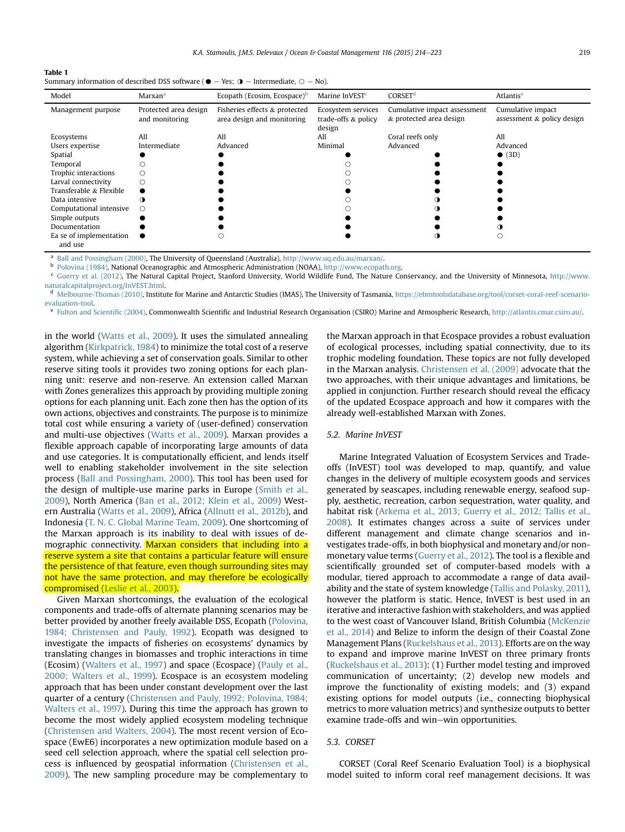<span id="page-5-0"></span>

|--|--|

| Summary information of described DSS software ( $\bullet$ - Yes; $\bullet$ - Intermediate, $\circ$ - No). |  |  |  |  |  |
|-----------------------------------------------------------------------------------------------------------|--|--|--|--|--|
|-----------------------------------------------------------------------------------------------------------|--|--|--|--|--|

| Model                   | Marxan <sup>a</sup>                     | Ecopath (Ecosim, Ecospace) <sup>b</sup>                     | Marine InVEST <sup>c</sup>                | <b>CORSET</b> <sup>d</sup>                              | Atlantis <sup>e</sup>                           |
|-------------------------|-----------------------------------------|-------------------------------------------------------------|-------------------------------------------|---------------------------------------------------------|-------------------------------------------------|
| Management purpose      | Protected area design<br>and monitoring | Fisheries effects & protected<br>area design and monitoring | Ecosystem services<br>trade-offs & policy | Cumulative impact assessment<br>& protected area design | Cumulative impact<br>assessment & policy design |
|                         |                                         |                                                             | design                                    |                                                         |                                                 |
| Ecosystems              | All                                     | All                                                         | All                                       | Coral reefs only                                        | All                                             |
| Users expertise         | Intermediate                            | Advanced                                                    | Minimal                                   | Advanced                                                | Advanced                                        |
| Spatial                 |                                         |                                                             |                                           |                                                         | $\bullet$ (3D)                                  |
| Temporal                |                                         |                                                             |                                           |                                                         |                                                 |
| Trophic interactions    |                                         |                                                             |                                           |                                                         |                                                 |
| Larval connectivity     |                                         |                                                             |                                           |                                                         |                                                 |
| Transferable & Flexible |                                         |                                                             |                                           |                                                         |                                                 |
| Data intensive          |                                         |                                                             |                                           |                                                         |                                                 |
| Computational intensive |                                         |                                                             |                                           |                                                         |                                                 |
| Simple outputs          |                                         |                                                             |                                           |                                                         |                                                 |
| Documentation           |                                         |                                                             |                                           |                                                         |                                                 |
| Ea se of implementation |                                         |                                                             |                                           |                                                         |                                                 |
| and use                 |                                         |                                                             |                                           |                                                         |                                                 |

<sup>a</sup> [Ball and Possingham \(2000\)](#page-7-0), The University of Queensland (Australia), <http://www.uq.edu.au/marxan/>.<br><sup>b</sup> Polovina (1984), National Oceanographic and Atmospheric Administration (NOAA), http://www.econati

<sup>b</sup> [Polovina \(1984\),](#page-8-0) National Oceanographic and Atmospheric Administration (NOAA), <http://www.ecopath.org>.

[Guerry et al. \(2012\)](#page-7-0), The Natural Capital Project, Stanford University, World Wildlife Fund, The Nature Conservancy, and the University of Minnesota, [http://www.](http://www.naturalcapitalproject.org/InVEST.html) [naturalcapitalproject.org/InVEST.html.](http://www.naturalcapitalproject.org/InVEST.html)

[Melbourne-Thomas \(2010\),](#page-8-0) Institute for Marine and Antarctic Studies (IMAS), The University of Tasmania, [https://ebmtoolsdatabase.org/tool/corset-coral-reef-scenario](https://ebmtoolsdatabase.org/tool/corset-coral-reef-scenario-evaluation-tool)[evaluation-tool.](https://ebmtoolsdatabase.org/tool/corset-coral-reef-scenario-evaluation-tool)

<sup>e</sup> [Fulton and Scienti](#page-7-0)fic (2004), Commonwealth Scientific and Industrial Research Organisation (CSIRO) Marine and Atmospheric Research, [http://atlantis.cmar.csiro.au/.](http://atlantis.cmar.csiro.au/)

in the world ([Watts et al., 2009\)](#page-9-0). It uses the simulated annealing algorithm ([Kirkpatrick, 1984](#page-8-0)) to minimize the total cost of a reserve system, while achieving a set of conservation goals. Similar to other reserve siting tools it provides two zoning options for each planning unit: reserve and non-reserve. An extension called Marxan with Zones generalizes this approach by providing multiple zoning options for each planning unit. Each zone then has the option of its own actions, objectives and constraints. The purpose is to minimize total cost while ensuring a variety of (user-defined) conservation and multi-use objectives ([Watts et al., 2009](#page-9-0)). Marxan provides a flexible approach capable of incorporating large amounts of data and use categories. It is computationally efficient, and lends itself well to enabling stakeholder involvement in the site selection process ([Ball and Possingham, 2000\)](#page-7-0). This tool has been used for the design of multiple-use marine parks in Europe ([Smith et al.,](#page-9-0) [2009\)](#page-9-0), North America ([Ban et al., 2012; Klein et al., 2009\)](#page-7-0) Western Australia [\(Watts et al., 2009\)](#page-9-0), Africa ([Allnutt et al., 2012b](#page-7-0)), and Indonesia [\(T. N. C. Global Marine Team, 2009\)](#page-9-0). One shortcoming of the Marxan approach is its inability to deal with issues of demographic connectivity. Marxan considers that including into a reserve system a site that contains a particular feature will ensure the persistence of that feature, even though surrounding sites may not have the same protection, and may therefore be ecologically compromised ([Leslie et al., 2003](#page-8-0)).

Given Marxan shortcomings, the evaluation of the ecological components and trade-offs of alternate planning scenarios may be better provided by another freely available DSS, Ecopath [\(Polovina,](#page-8-0) [1984; Christensen and Pauly, 1992](#page-8-0)). Ecopath was designed to investigate the impacts of fisheries on ecosystems' dynamics by translating changes in biomasses and trophic interactions in time (Ecosim) ([Walters et al., 1997](#page-9-0)) and space (Ecospace) [\(Pauly et al.,](#page-8-0) [2000; Walters et al., 1999\)](#page-8-0). Ecospace is an ecosystem modeling approach that has been under constant development over the last quarter of a century [\(Christensen and Pauly, 1992; Polovina, 1984;](#page-7-0) [Walters et al., 1997\)](#page-7-0). During this time the approach has grown to become the most widely applied ecosystem modeling technique ([Christensen and Walters, 2004](#page-7-0)). The most recent version of Ecospace (EwE6) incorporates a new optimization module based on a seed cell selection approach, where the spatial cell selection process is influenced by geospatial information [\(Christensen et al.,](#page-7-0) [2009\)](#page-7-0). The new sampling procedure may be complementary to

the Marxan approach in that Ecospace provides a robust evaluation of ecological processes, including spatial connectivity, due to its trophic modeling foundation. These topics are not fully developed in the Marxan analysis. [Christensen et al. \(2009\)](#page-7-0) advocate that the two approaches, with their unique advantages and limitations, be applied in conjunction. Further research should reveal the efficacy of the updated Ecospace approach and how it compares with the already well-established Marxan with Zones.

#### 5.2. Marine InVEST

Marine Integrated Valuation of Ecosystem Services and Tradeoffs (InVEST) tool was developed to map, quantify, and value changes in the delivery of multiple ecosystem goods and services generated by seascapes, including renewable energy, seafood supply, aesthetic, recreation, carbon sequestration, water quality, and habitat risk [\(Arkema et al., 2013; Guerry et al., 2012; Tallis et al.,](#page-7-0) [2008\)](#page-7-0). It estimates changes across a suite of services under different management and climate change scenarios and investigates trade-offs, in both biophysical and monetary and/or nonmonetary value terms ([Guerry et al., 2012](#page-7-0)). The tool is a flexible and scientifically grounded set of computer-based models with a modular, tiered approach to accommodate a range of data availability and the state of system knowledge ([Tallis and Polasky, 2011\)](#page-9-0), however the platform is static. Hence, InVEST is best used in an iterative and interactive fashion with stakeholders, and was applied to the west coast of Vancouver Island, British Columbia ([McKenzie](#page-8-0) [et al., 2014](#page-8-0)) and Belize to inform the design of their Coastal Zone Management Plans ([Ruckelshaus et al., 2013](#page-8-0)). Efforts are on the way to expand and improve marine InVEST on three primary fronts ([Ruckelshaus et al., 2013\)](#page-8-0): (1) Further model testing and improved communication of uncertainty; (2) develop new models and improve the functionality of existing models; and (3) expand existing options for model outputs (i.e., connecting biophysical metrics to more valuation metrics) and synthesize outputs to better examine trade-offs and win-win opportunities.

# 5.3. CORSET

CORSET (Coral Reef Scenario Evaluation Tool) is a biophysical model suited to inform coral reef management decisions. It was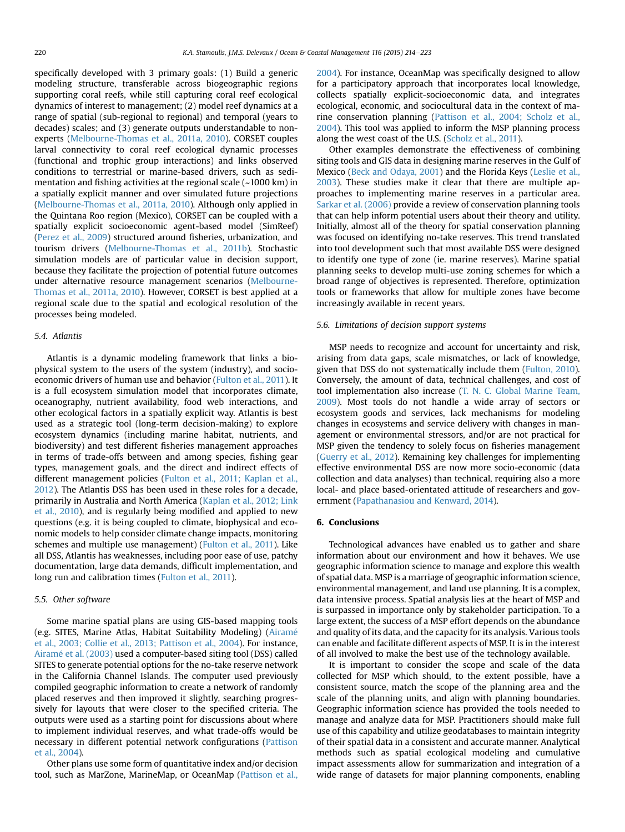specifically developed with 3 primary goals: (1) Build a generic modeling structure, transferable across biogeographic regions supporting coral reefs, while still capturing coral reef ecological dynamics of interest to management; (2) model reef dynamics at a range of spatial (sub-regional to regional) and temporal (years to decades) scales; and (3) generate outputs understandable to nonexperts [\(Melbourne-Thomas et al., 2011a, 2010\)](#page-8-0). CORSET couples larval connectivity to coral reef ecological dynamic processes (functional and trophic group interactions) and links observed conditions to terrestrial or marine-based drivers, such as sedimentation and fishing activities at the regional scale (~1000 km) in a spatially explicit manner and over simulated future projections ([Melbourne-Thomas et al., 2011a, 2010\)](#page-8-0). Although only applied in the Quintana Roo region (Mexico), CORSET can be coupled with a spatially explicit socioeconomic agent-based model (SimReef) ([Perez et al., 2009](#page-8-0)) structured around fisheries, urbanization, and tourism drivers [\(Melbourne-Thomas et al., 2011b](#page-8-0)). Stochastic simulation models are of particular value in decision support, because they facilitate the projection of potential future outcomes under alternative resource management scenarios [\(Melbourne-](#page-8-0)[Thomas et al., 2011a, 2010](#page-8-0)). However, CORSET is best applied at a regional scale due to the spatial and ecological resolution of the processes being modeled.

# 5.4. Atlantis

Atlantis is a dynamic modeling framework that links a biophysical system to the users of the system (industry), and socioeconomic drivers of human use and behavior [\(Fulton et al., 2011\)](#page-7-0). It is a full ecosystem simulation model that incorporates climate, oceanography, nutrient availability, food web interactions, and other ecological factors in a spatially explicit way. Atlantis is best used as a strategic tool (long-term decision-making) to explore ecosystem dynamics (including marine habitat, nutrients, and biodiversity) and test different fisheries management approaches in terms of trade-offs between and among species, fishing gear types, management goals, and the direct and indirect effects of different management policies ([Fulton et al., 2011; Kaplan et al.,](#page-7-0) [2012](#page-7-0)). The Atlantis DSS has been used in these roles for a decade, primarily in Australia and North America [\(Kaplan et al., 2012; Link](#page-8-0) [et al., 2010](#page-8-0)), and is regularly being modified and applied to new questions (e.g. it is being coupled to climate, biophysical and economic models to help consider climate change impacts, monitoring schemes and multiple use management) [\(Fulton et al., 2011\)](#page-7-0). Like all DSS, Atlantis has weaknesses, including poor ease of use, patchy documentation, large data demands, difficult implementation, and long run and calibration times [\(Fulton et al., 2011](#page-7-0)).

## 5.5. Other software

Some marine spatial plans are using GIS-based mapping tools (e.g. SITES, Marine Atlas, Habitat Suitability Modeling) ([Airame](#page-7-0) [et al., 2003; Collie et al., 2013; Pattison et al., 2004\)](#page-7-0). For instance, [Airame et al. \(2003\)](#page-7-0) used a computer-based siting tool (DSS) called SITES to generate potential options for the no-take reserve network in the California Channel Islands. The computer used previously compiled geographic information to create a network of randomly placed reserves and then improved it slightly, searching progressively for layouts that were closer to the specified criteria. The outputs were used as a starting point for discussions about where to implement individual reserves, and what trade-offs would be necessary in different potential network configurations [\(Pattison](#page-8-0) [et al., 2004\)](#page-8-0).

Other plans use some form of quantitative index and/or decision tool, such as MarZone, MarineMap, or OceanMap [\(Pattison et al.,](#page-8-0) [2004](#page-8-0)). For instance, OceanMap was specifically designed to allow for a participatory approach that incorporates local knowledge, collects spatially explicit-socioeconomic data, and integrates ecological, economic, and sociocultural data in the context of marine conservation planning ([Pattison et al., 2004; Scholz et al.,](#page-8-0) [2004](#page-8-0)). This tool was applied to inform the MSP planning process along the west coast of the U.S. ([Scholz et al., 2011](#page-8-0)).

Other examples demonstrate the effectiveness of combining siting tools and GIS data in designing marine reserves in the Gulf of Mexico ([Beck and Odaya, 2001](#page-7-0)) and the Florida Keys ([Leslie et al.,](#page-8-0) [2003](#page-8-0)). These studies make it clear that there are multiple approaches to implementing marine reserves in a particular area. [Sarkar et al. \(2006\)](#page-8-0) provide a review of conservation planning tools that can help inform potential users about their theory and utility. Initially, almost all of the theory for spatial conservation planning was focused on identifying no-take reserves. This trend translated into tool development such that most available DSS were designed to identify one type of zone (ie. marine reserves). Marine spatial planning seeks to develop multi-use zoning schemes for which a broad range of objectives is represented. Therefore, optimization tools or frameworks that allow for multiple zones have become increasingly available in recent years.

# 5.6. Limitations of decision support systems

MSP needs to recognize and account for uncertainty and risk, arising from data gaps, scale mismatches, or lack of knowledge, given that DSS do not systematically include them [\(Fulton, 2010\)](#page-7-0). Conversely, the amount of data, technical challenges, and cost of tool implementation also increase ([T. N. C. Global Marine Team,](#page-9-0) [2009](#page-9-0)). Most tools do not handle a wide array of sectors or ecosystem goods and services, lack mechanisms for modeling changes in ecosystems and service delivery with changes in management or environmental stressors, and/or are not practical for MSP given the tendency to solely focus on fisheries management ([Guerry et al., 2012\)](#page-7-0). Remaining key challenges for implementing effective environmental DSS are now more socio-economic (data collection and data analyses) than technical, requiring also a more local- and place based-orientated attitude of researchers and government ([Papathanasiou and Kenward, 2014](#page-8-0)).

#### 6. Conclusions

Technological advances have enabled us to gather and share information about our environment and how it behaves. We use geographic information science to manage and explore this wealth of spatial data. MSP is a marriage of geographic information science, environmental management, and land use planning. It is a complex, data intensive process. Spatial analysis lies at the heart of MSP and is surpassed in importance only by stakeholder participation. To a large extent, the success of a MSP effort depends on the abundance and quality of its data, and the capacity for its analysis. Various tools can enable and facilitate different aspects of MSP. It is in the interest of all involved to make the best use of the technology available.

It is important to consider the scope and scale of the data collected for MSP which should, to the extent possible, have a consistent source, match the scope of the planning area and the scale of the planning units, and align with planning boundaries. Geographic information science has provided the tools needed to manage and analyze data for MSP. Practitioners should make full use of this capability and utilize geodatabases to maintain integrity of their spatial data in a consistent and accurate manner. Analytical methods such as spatial ecological modeling and cumulative impact assessments allow for summarization and integration of a wide range of datasets for major planning components, enabling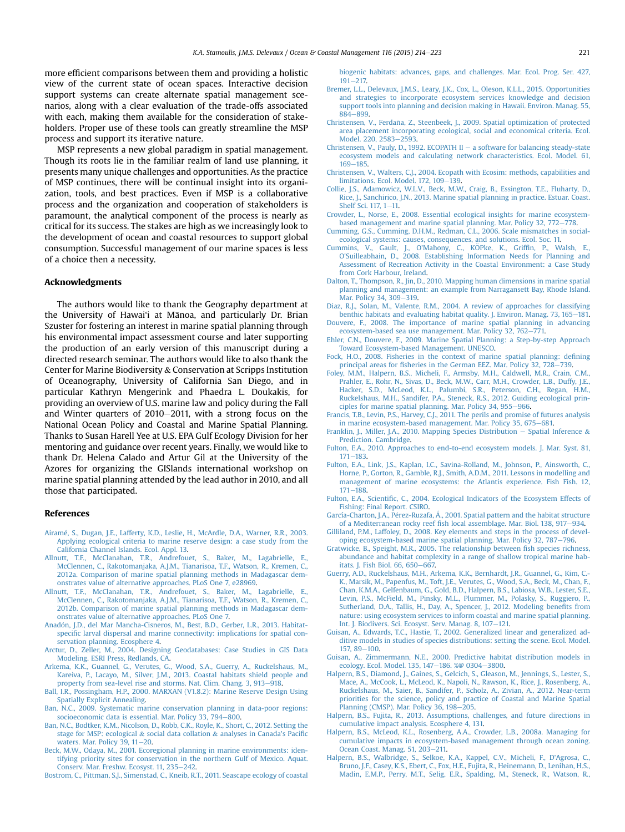<span id="page-7-0"></span>more efficient comparisons between them and providing a holistic view of the current state of ocean spaces. Interactive decision support systems can create alternate spatial management scenarios, along with a clear evaluation of the trade-offs associated with each, making them available for the consideration of stakeholders. Proper use of these tools can greatly streamline the MSP process and support its iterative nature.

MSP represents a new global paradigm in spatial management. Though its roots lie in the familiar realm of land use planning, it presents many unique challenges and opportunities. As the practice of MSP continues, there will be continual insight into its organization, tools, and best practices. Even if MSP is a collaborative process and the organization and cooperation of stakeholders is paramount, the analytical component of the process is nearly as critical for its success. The stakes are high as we increasingly look to the development of ocean and coastal resources to support global consumption. Successful management of our marine spaces is less of a choice then a necessity.

#### Acknowledgments

The authors would like to thank the Geography department at the University of Hawai'i at M anoa, and particularly Dr. Brian Szuster for fostering an interest in marine spatial planning through his environmental impact assessment course and later supporting the production of an early version of this manuscript during a directed research seminar. The authors would like to also thank the Center for Marine Biodiversity & Conservation at Scripps Institution of Oceanography, University of California San Diego, and in particular Kathryn Mengerink and Phaedra L. Doukakis, for providing an overview of U.S. marine law and policy during the Fall and Winter quarters of  $2010-2011$ , with a strong focus on the National Ocean Policy and Coastal and Marine Spatial Planning. Thanks to Susan Harell Yee at U.S. EPA Gulf Ecology Division for her mentoring and guidance over recent years. Finally, we would like to thank Dr. Helena Calado and Artur Gil at the University of the Azores for organizing the GISlands international workshop on marine spatial planning attended by the lead author in 2010, and all those that participated.

#### References

- [Airame, S., Dugan, J.E., Lafferty, K.D., Leslie, H., McArdle, D.A., Warner, R.R., 2003.](http://refhub.elsevier.com/S0964-5691(15)00201-X/sref1) [Applying ecological criteria to marine reserve design: a case study from the](http://refhub.elsevier.com/S0964-5691(15)00201-X/sref1) [California Channel Islands. Ecol. Appl. 13](http://refhub.elsevier.com/S0964-5691(15)00201-X/sref1).
- [Allnutt, T.F., McClanahan, T.R., Andrefouet, S., Baker, M., Lagabrielle, E.,](http://refhub.elsevier.com/S0964-5691(15)00201-X/sref2) [McClennen, C., Rakotomanjaka, A.J.M., Tianarisoa, T.F., Watson, R., Kremen, C.,](http://refhub.elsevier.com/S0964-5691(15)00201-X/sref2) [2012a. Comparison of marine spatial planning methods in Madagascar dem](http://refhub.elsevier.com/S0964-5691(15)00201-X/sref2)[onstrates value of alternative approaches. PLoS One 7, e28969.](http://refhub.elsevier.com/S0964-5691(15)00201-X/sref2)
- [Allnutt, T.F., McClanahan, T.R., Andrefouet, S., Baker, M., Lagabrielle, E.,](http://refhub.elsevier.com/S0964-5691(15)00201-X/sref3) [McClennen, C., Rakotomanjaka, A.J.M., Tianarisoa, T.F., Watson, R., Kremen, C.,](http://refhub.elsevier.com/S0964-5691(15)00201-X/sref3) [2012b. Comparison of marine spatial planning methods in Madagascar dem](http://refhub.elsevier.com/S0964-5691(15)00201-X/sref3)[onstrates value of alternative approaches. PLoS One 7.](http://refhub.elsevier.com/S0964-5691(15)00201-X/sref3)
- [Anad](http://refhub.elsevier.com/S0964-5691(15)00201-X/sref4)o[n, J.D., del Mar Mancha-Cisneros, M., Best, B.D., Gerber, L.R., 2013. Habitat](http://refhub.elsevier.com/S0964-5691(15)00201-X/sref4) specifi[c larval dispersal and marine connectivity: implications for spatial con](http://refhub.elsevier.com/S0964-5691(15)00201-X/sref4)[servation planning. Ecosphere 4.](http://refhub.elsevier.com/S0964-5691(15)00201-X/sref4)
- [Arctur, D., Zeller, M., 2004. Designing Geodatabases: Case Studies in GIS Data](http://refhub.elsevier.com/S0964-5691(15)00201-X/sref5) [Modeling. ESRI Press, Redlands, CA](http://refhub.elsevier.com/S0964-5691(15)00201-X/sref5).
- [Arkema, K.K., Guannel, G., Verutes, G., Wood, S.A., Guerry, A., Ruckelshaus, M.,](http://refhub.elsevier.com/S0964-5691(15)00201-X/sref6) [Kareiva, P., Lacayo, M., Silver, J.M., 2013. Coastal habitats shield people and](http://refhub.elsevier.com/S0964-5691(15)00201-X/sref6) [property from sea-level rise and storms. Nat. Clim. Chang. 3, 913](http://refhub.elsevier.com/S0964-5691(15)00201-X/sref6)-[918](http://refhub.elsevier.com/S0964-5691(15)00201-X/sref6).
- [Ball, I.R., Possingham, H.P., 2000. MARXAN \(V1.8.2\): Marine Reserve Design Using](http://refhub.elsevier.com/S0964-5691(15)00201-X/sref7) [Spatially Explicit Annealing](http://refhub.elsevier.com/S0964-5691(15)00201-X/sref7).
- [Ban, N.C., 2009. Systematic marine conservation planning in data-poor regions:](http://refhub.elsevier.com/S0964-5691(15)00201-X/sref8) [socioeconomic data is essential. Mar. Policy 33, 794](http://refhub.elsevier.com/S0964-5691(15)00201-X/sref8)-[800.](http://refhub.elsevier.com/S0964-5691(15)00201-X/sref8)
- [Ban, N.C., Bodtker, K.M., Nicolson, D., Robb, C.K., Royle, K., Short, C., 2012. Setting the](http://refhub.elsevier.com/S0964-5691(15)00201-X/sref9) [stage for MSP: ecological](http://refhub.elsevier.com/S0964-5691(15)00201-X/sref9) & [social data collation](http://refhub.elsevier.com/S0964-5691(15)00201-X/sref9) & [analyses in Canada's Paci](http://refhub.elsevier.com/S0964-5691(15)00201-X/sref9)fic waters. Mar. Policy 39,  $11-20$  $11-20$ .
- [Beck, M.W., Odaya, M., 2001. Ecoregional planning in marine environments: iden](http://refhub.elsevier.com/S0964-5691(15)00201-X/sref10)[tifying priority sites for conservation in the northern Gulf of Mexico. Aquat.](http://refhub.elsevier.com/S0964-5691(15)00201-X/sref10) [Conserv. Mar. Freshw. Ecosyst. 11, 235](http://refhub.elsevier.com/S0964-5691(15)00201-X/sref10)-[242](http://refhub.elsevier.com/S0964-5691(15)00201-X/sref10).

[Bostrom, C., Pittman, S.J., Simenstad, C., Kneib, R.T., 2011. Seascape ecology of coastal](http://refhub.elsevier.com/S0964-5691(15)00201-X/sref11)

[biogenic habitats: advances, gaps, and challenges. Mar. Ecol. Prog. Ser. 427,](http://refhub.elsevier.com/S0964-5691(15)00201-X/sref11)  $191 - 217$  $191 - 217$ 

- [Bremer, L.L., Delevaux, J.M.S., Leary, J.K., Cox, L., Oleson, K.L.L., 2015. Opportunities](http://refhub.elsevier.com/S0964-5691(15)00201-X/sref12) [and strategies to incorporate ecosystem services knowledge and decision](http://refhub.elsevier.com/S0964-5691(15)00201-X/sref12) [support tools into planning and decision making in Hawaii. Environ. Manag. 55,](http://refhub.elsevier.com/S0964-5691(15)00201-X/sref12)  $884 - 899$  $884 - 899$  $884 - 899$
- [Christensen, V., Ferdana, Z., Steenbeek, J., 2009. Spatial optimization of protected](http://refhub.elsevier.com/S0964-5691(15)00201-X/sref13) ~ [area placement incorporating ecological, social and economical criteria. Ecol.](http://refhub.elsevier.com/S0964-5691(15)00201-X/sref13) [Model. 220, 2583](http://refhub.elsevier.com/S0964-5691(15)00201-X/sref13)-[2593.](http://refhub.elsevier.com/S0964-5691(15)00201-X/sref13)
- [Christensen, V., Pauly, D., 1992. ECOPATH II](http://refhub.elsevier.com/S0964-5691(15)00201-X/sref14) [a software for balancing steady-state](http://refhub.elsevier.com/S0964-5691(15)00201-X/sref14) [ecosystem models and calculating network characteristics. Ecol. Model. 61,](http://refhub.elsevier.com/S0964-5691(15)00201-X/sref14)  $169 - 185$  $169 - 185$  $169 - 185$
- [Christensen, V., Walters, C.J., 2004. Ecopath with Ecosim: methods, capabilities and](http://refhub.elsevier.com/S0964-5691(15)00201-X/sref15)  $limitations$   $Ecol$  Model. 172,  $109-139$  $109-139$ .
- [Collie, J.S., Adamowicz, W.L.V., Beck, M.W., Craig, B., Essington, T.E., Fluharty, D.,](http://refhub.elsevier.com/S0964-5691(15)00201-X/sref16) [Rice, J., Sanchirico, J.N., 2013. Marine spatial planning in practice. Estuar. Coast.](http://refhub.elsevier.com/S0964-5691(15)00201-X/sref16) [Shelf Sci. 117, 1](http://refhub.elsevier.com/S0964-5691(15)00201-X/sref16)-[11.](http://refhub.elsevier.com/S0964-5691(15)00201-X/sref16)
- [Crowder, L., Norse, E., 2008. Essential ecological insights for marine ecosystem](http://refhub.elsevier.com/S0964-5691(15)00201-X/sref17)[based management and marine spatial planning. Mar. Policy 32, 772](http://refhub.elsevier.com/S0964-5691(15)00201-X/sref17)–[778](http://refhub.elsevier.com/S0964-5691(15)00201-X/sref17).<br>[Cumming, G.S., Cumming, D.H.M., Redman, C.L., 2006. Scale mismatches in social-](http://refhub.elsevier.com/S0964-5691(15)00201-X/sref18)
- [ecological systems: causes, consequences, and solutions. Ecol. Soc. 11.](http://refhub.elsevier.com/S0964-5691(15)00201-X/sref18)
- Cummins, V., Gault, J., O'Mahony, C., KÖPke, K., Griffin, P., Walsh, E.<br>[O'Suilleabhain, D., 2008. Establishing Information Needs for Planning and](http://refhub.elsevier.com/S0964-5691(15)00201-X/sref19) [Assessment of Recreation Activity in the Coastal Environment: a Case Study](http://refhub.elsevier.com/S0964-5691(15)00201-X/sref19) [from Cork Harbour, Ireland](http://refhub.elsevier.com/S0964-5691(15)00201-X/sref19).
- [Dalton, T., Thompson, R., Jin, D., 2010. Mapping human dimensions in marine spatial](http://refhub.elsevier.com/S0964-5691(15)00201-X/sref20) [planning and management: an example from Narragansett Bay, Rhode Island.](http://refhub.elsevier.com/S0964-5691(15)00201-X/sref20) [Mar. Policy 34, 309](http://refhub.elsevier.com/S0964-5691(15)00201-X/sref20)-[319.](http://refhub.elsevier.com/S0964-5691(15)00201-X/sref20)
- [Diaz, R.J., Solan, M., Valente, R.M., 2004. A review of approaches for classifying](http://refhub.elsevier.com/S0964-5691(15)00201-X/sref21) [benthic habitats and evaluating habitat quality. J. Environ. Manag. 73, 165](http://refhub.elsevier.com/S0964-5691(15)00201-X/sref21)-[181.](http://refhub.elsevier.com/S0964-5691(15)00201-X/sref21)
- [Douvere, F., 2008. The importance of marine spatial planning in advancing](http://refhub.elsevier.com/S0964-5691(15)00201-X/sref22) [ecosystem-based sea use management. Mar. Policy 32, 762](http://refhub.elsevier.com/S0964-5691(15)00201-X/sref22)-[771.](http://refhub.elsevier.com/S0964-5691(15)00201-X/sref22)
- [Ehler, C.N., Douvere, F., 2009. Marine Spatial Planning: a Step-by-step Approach](http://refhub.elsevier.com/S0964-5691(15)00201-X/sref23) [Toward Ecosystem-based Management. UNESCO](http://refhub.elsevier.com/S0964-5691(15)00201-X/sref23).
- [Fock, H.O., 2008. Fisheries in the context of marine spatial planning: de](http://refhub.elsevier.com/S0964-5691(15)00201-X/sref24)fining principal areas for fi[sheries in the German EEZ. Mar. Policy 32, 728](http://refhub.elsevier.com/S0964-5691(15)00201-X/sref24)-[739](http://refhub.elsevier.com/S0964-5691(15)00201-X/sref24).
- [Foley, M.M., Halpern, B.S., Micheli, F., Armsby, M.H., Caldwell, M.R., Crain, C.M.,](http://refhub.elsevier.com/S0964-5691(15)00201-X/sref25) [Prahler, E., Rohr, N., Sivas, D., Beck, M.W., Carr, M.H., Crowder, L.B., Duffy, J.E.,](http://refhub.elsevier.com/S0964-5691(15)00201-X/sref25) [Hacker, S.D., McLeod, K.L., Palumbi, S.R., Peterson, C.H., Regan, H.M.,](http://refhub.elsevier.com/S0964-5691(15)00201-X/sref25) [Ruckelshaus, M.H., Sandifer, P.A., Steneck, R.S., 2012. Guiding ecological prin](http://refhub.elsevier.com/S0964-5691(15)00201-X/sref25)[ciples for marine spatial planning. Mar. Policy 34, 955](http://refhub.elsevier.com/S0964-5691(15)00201-X/sref25)-[966](http://refhub.elsevier.com/S0964-5691(15)00201-X/sref25).
- [Francis, T.B., Levin, P.S., Harvey, C.J., 2011. The perils and promise of futures analysis](http://refhub.elsevier.com/S0964-5691(15)00201-X/sref26) [in marine ecosystem-based management. Mar. Policy 35, 675](http://refhub.elsevier.com/S0964-5691(15)00201-X/sref26)-[681.](http://refhub.elsevier.com/S0964-5691(15)00201-X/sref26)
- [Franklin, J., Miller, J.A., 2010. Mapping Species Distribution](http://refhub.elsevier.com/S0964-5691(15)00201-X/sref27)  $-$  [Spatial Inference](http://refhub.elsevier.com/S0964-5691(15)00201-X/sref27) & [Prediction. Cambridge.](http://refhub.elsevier.com/S0964-5691(15)00201-X/sref27)
- [Fulton, E.A., 2010. Approaches to end-to-end ecosystem models. J. Mar. Syst. 81,](http://refhub.elsevier.com/S0964-5691(15)00201-X/sref28)  $171 - 183$  $171 - 183$  $171 - 183$
- [Fulton, E.A., Link, J.S., Kaplan, I.C., Savina-Rolland, M., Johnson, P., Ainsworth, C.,](http://refhub.elsevier.com/S0964-5691(15)00201-X/sref29) [Horne, P., Gorton, R., Gamble, R.J., Smith, A.D.M., 2011. Lessons in modelling and](http://refhub.elsevier.com/S0964-5691(15)00201-X/sref29) [management of marine ecosystems: the Atlantis experience. Fish Fish. 12,](http://refhub.elsevier.com/S0964-5691(15)00201-X/sref29)  $171 - 188.$  $171 - 188.$  $171 - 188.$  $171 - 188.$
- Fulton, E.A., Scientifi[c, C., 2004. Ecological Indicators of the Ecosystem Effects of](http://refhub.elsevier.com/S0964-5691(15)00201-X/sref30) [Fishing: Final Report. CSIRO](http://refhub.elsevier.com/S0964-5691(15)00201-X/sref30).
- García-Charton, J.A., Pérez-Ruzafa, Á[., 2001. Spatial pattern and the habitat structure](http://refhub.elsevier.com/S0964-5691(15)00201-X/sref31) of a Mediterranean rocky reef fi[sh local assemblage. Mar. Biol. 138, 917](http://refhub.elsevier.com/S0964-5691(15)00201-X/sref31)-[934.](http://refhub.elsevier.com/S0964-5691(15)00201-X/sref31)
- [Gilliland, P.M., Laffoley, D., 2008. Key elements and steps in the process of devel](http://refhub.elsevier.com/S0964-5691(15)00201-X/sref32)[oping ecosystem-based marine spatial planning. Mar. Policy 32, 787](http://refhub.elsevier.com/S0964-5691(15)00201-X/sref32)-[796.](http://refhub.elsevier.com/S0964-5691(15)00201-X/sref32)
- [Gratwicke, B., Speight, M.R., 2005. The relationship between](http://refhub.elsevier.com/S0964-5691(15)00201-X/sref33) fish species richness, [abundance and habitat complexity in a range of shallow tropical marine hab-](http://refhub.elsevier.com/S0964-5691(15)00201-X/sref33)itats. I. Fish Biol. 66, 650-[667.](http://refhub.elsevier.com/S0964-5691(15)00201-X/sref33)
- [Guerry, A.D., Ruckelshaus, M.H., Arkema, K.K., Bernhardt, J.R., Guannel, G., Kim, C.-](http://refhub.elsevier.com/S0964-5691(15)00201-X/sref34) [K., Marsik, M., Papenfus, M., Toft, J.E., Verutes, G., Wood, S.A., Beck, M., Chan, F.,](http://refhub.elsevier.com/S0964-5691(15)00201-X/sref34) [Chan, K.M.A., Gelfenbaum, G., Gold, B.D., Halpern, B.S., Labiosa, W.B., Lester, S.E.,](http://refhub.elsevier.com/S0964-5691(15)00201-X/sref34) [Levin, P.S., McField, M., Pinsky, M.L., Plummer, M., Polasky, S., Ruggiero, P.,](http://refhub.elsevier.com/S0964-5691(15)00201-X/sref34) [Sutherland, D.A., Tallis, H., Day, A., Spencer, J., 2012. Modeling bene](http://refhub.elsevier.com/S0964-5691(15)00201-X/sref34)fits from [nature: using ecosystem services to inform coastal and marine spatial planning.](http://refhub.elsevier.com/S0964-5691(15)00201-X/sref34) [Int. J. Biodivers. Sci. Ecosyst. Serv. Manag. 8, 107](http://refhub.elsevier.com/S0964-5691(15)00201-X/sref34)-[121.](http://refhub.elsevier.com/S0964-5691(15)00201-X/sref34)
- [Guisan, A., Edwards, T.C., Hastie, T., 2002. Generalized linear and generalized ad](http://refhub.elsevier.com/S0964-5691(15)00201-X/sref35)[ditive models in studies of species distributions: setting the scene. Ecol. Model.](http://refhub.elsevier.com/S0964-5691(15)00201-X/sref35) [157, 89](http://refhub.elsevier.com/S0964-5691(15)00201-X/sref35)-[100.](http://refhub.elsevier.com/S0964-5691(15)00201-X/sref35)
- [Guisan, A., Zimmermann, N.E., 2000. Predictive habitat distribution models in](http://refhub.elsevier.com/S0964-5691(15)00201-X/sref36) [ecology. Ecol. Model. 135, 147](http://refhub.elsevier.com/S0964-5691(15)00201-X/sref36)-[186. %@ 0304](http://refhub.elsevier.com/S0964-5691(15)00201-X/sref36)-[3800](http://refhub.elsevier.com/S0964-5691(15)00201-X/sref36).
- [Halpern, B.S., Diamond, J., Gaines, S., Gelcich, S., Gleason, M., Jennings, S., Lester, S.,](http://refhub.elsevier.com/S0964-5691(15)00201-X/sref37) [Mace, A., McCook, L., McLeod, K., Napoli, N., Rawson, K., Rice, J., Rosenberg, A.,](http://refhub.elsevier.com/S0964-5691(15)00201-X/sref37) [Ruckelshaus, M., Saier, B., Sandifer, P., Scholz, A., Zivian, A., 2012. Near-term](http://refhub.elsevier.com/S0964-5691(15)00201-X/sref37) [priorities for the science, policy and practice of Coastal and Marine Spatial](http://refhub.elsevier.com/S0964-5691(15)00201-X/sref37) Planning (CMSP). Mar. Policy 36,  $198-205$  $198-205$ .
- [Halpern, B.S., Fujita, R., 2013. Assumptions, challenges, and future directions in](http://refhub.elsevier.com/S0964-5691(15)00201-X/sref38) [cumulative impact analysis. Ecosphere 4, 131.](http://refhub.elsevier.com/S0964-5691(15)00201-X/sref38)
- [Halpern, B.S., McLeod, K.L., Rosenberg, A.A., Crowder, L.B., 2008a. Managing for](http://refhub.elsevier.com/S0964-5691(15)00201-X/sref39) [cumulative impacts in ecosystem-based management through ocean zoning.](http://refhub.elsevier.com/S0964-5691(15)00201-X/sref39) [Ocean Coast. Manag. 51, 203](http://refhub.elsevier.com/S0964-5691(15)00201-X/sref39)-[211.](http://refhub.elsevier.com/S0964-5691(15)00201-X/sref39)
- [Halpern, B.S., Walbridge, S., Selkoe, K.A., Kappel, C.V., Micheli, F., D'Agrosa, C.,](http://refhub.elsevier.com/S0964-5691(15)00201-X/sref40) [Bruno, J.F., Casey, K.S., Ebert, C., Fox, H.E., Fujita, R., Heinemann, D., Lenihan, H.S.,](http://refhub.elsevier.com/S0964-5691(15)00201-X/sref40) [Madin, E.M.P., Perry, M.T., Selig, E.R., Spalding, M., Steneck, R., Watson, R.,](http://refhub.elsevier.com/S0964-5691(15)00201-X/sref40)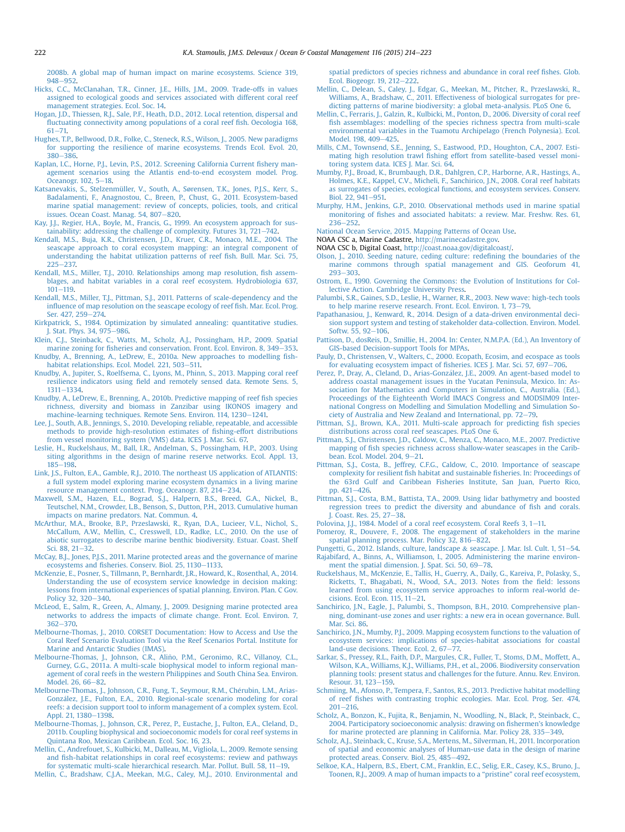<span id="page-8-0"></span>[2008b. A global map of human impact on marine ecosystems. Science 319,](http://refhub.elsevier.com/S0964-5691(15)00201-X/sref40)  $948 - 952$  $948 - 952$ 

- [Hicks, C.C., McClanahan, T.R., Cinner, J.E., Hills, J.M., 2009. Trade-offs in values](http://refhub.elsevier.com/S0964-5691(15)00201-X/sref41) [assigned to ecological goods and services associated with different coral reef](http://refhub.elsevier.com/S0964-5691(15)00201-X/sref41) [management strategies. Ecol. Soc. 14](http://refhub.elsevier.com/S0964-5691(15)00201-X/sref41).
- [Hogan, J.D., Thiessen, R.J., Sale, P.F., Heath, D.D., 2012. Local retention, dispersal and](http://refhub.elsevier.com/S0964-5691(15)00201-X/sref42) fl[uctuating connectivity among populations of a coral reef](http://refhub.elsevier.com/S0964-5691(15)00201-X/sref42) fish. Oecologia 168,  $61 - 71$  $61 - 71$
- [Hughes, T.P., Bellwood, D.R., Folke, C., Steneck, R.S., Wilson, J., 2005. New paradigms](http://refhub.elsevier.com/S0964-5691(15)00201-X/sref43) [for supporting the resilience of marine ecosystems. Trends Ecol. Evol. 20,](http://refhub.elsevier.com/S0964-5691(15)00201-X/sref43) [380](http://refhub.elsevier.com/S0964-5691(15)00201-X/sref43)-[386.](http://refhub.elsevier.com/S0964-5691(15)00201-X/sref43)
- [Kaplan, I.C., Horne, P.J., Levin, P.S., 2012. Screening California Current](http://refhub.elsevier.com/S0964-5691(15)00201-X/sref44) fishery man[agement scenarios using the Atlantis end-to-end ecosystem model. Prog.](http://refhub.elsevier.com/S0964-5691(15)00201-X/sref44) [Oceanogr. 102, 5](http://refhub.elsevier.com/S0964-5691(15)00201-X/sref44)-[18](http://refhub.elsevier.com/S0964-5691(15)00201-X/sref44).
- [Katsanevakis, S., Stelzenmüller, V., South, A., S](http://refhub.elsevier.com/S0964-5691(15)00201-X/sref45)ø[rensen, T.K., Jones, P.J.S., Kerr, S.,](http://refhub.elsevier.com/S0964-5691(15)00201-X/sref45) [Badalamenti, F., Anagnostou, C., Breen, P., Chust, G., 2011. Ecosystem-based](http://refhub.elsevier.com/S0964-5691(15)00201-X/sref45) [marine spatial management: review of concepts, policies, tools, and critical](http://refhub.elsevier.com/S0964-5691(15)00201-X/sref45) [issues. Ocean Coast. Manag. 54, 807](http://refhub.elsevier.com/S0964-5691(15)00201-X/sref45)-[820.](http://refhub.elsevier.com/S0964-5691(15)00201-X/sref45)
- Kay, J.J., Regier, H.A., Boyle, M., Francis, G., 1999. An ecosystem approach for sus-<br>[tainability: addressing the challenge of complexity. Futures 31, 721](http://refhub.elsevier.com/S0964-5691(15)00201-X/sref46)–[742.](http://refhub.elsevier.com/S0964-5691(15)00201-X/sref46)
- [Kendall, M.S., Buja, K.R., Christensen, J.D., Kruer, C.R., Monaco, M.E., 2004. The](http://refhub.elsevier.com/S0964-5691(15)00201-X/sref47) [seascape approach to coral ecosystem mapping: an integral component of](http://refhub.elsevier.com/S0964-5691(15)00201-X/sref47) [understanding the habitat utilization patterns of reef](http://refhub.elsevier.com/S0964-5691(15)00201-X/sref47) fish. Bull. Mar. Sci. 75,  $225 - 237$  $225 - 237$
- [Kendall, M.S., Miller, T.J., 2010. Relationships among map resolution,](http://refhub.elsevier.com/S0964-5691(15)00201-X/sref48) fish assem[blages, and habitat variables in a coral reef ecosystem. Hydrobiologia 637,](http://refhub.elsevier.com/S0964-5691(15)00201-X/sref48)  $101 - 119$  $101 - 119$  $101 - 119$
- [Kendall, M.S., Miller, T.J., Pittman, S.J., 2011. Patterns of scale-dependency and the](http://refhub.elsevier.com/S0964-5691(15)00201-X/sref49) infl[uence of map resolution on the seascape ecology of reef](http://refhub.elsevier.com/S0964-5691(15)00201-X/sref49) fish. Mar. Ecol. Prog. [Ser. 427, 259](http://refhub.elsevier.com/S0964-5691(15)00201-X/sref49)-[274](http://refhub.elsevier.com/S0964-5691(15)00201-X/sref49).
- [Kirkpatrick, S., 1984. Optimization by simulated annealing: quantitative studies.](http://refhub.elsevier.com/S0964-5691(15)00201-X/sref50) [J. Stat. Phys. 34, 975](http://refhub.elsevier.com/S0964-5691(15)00201-X/sref50)-[986](http://refhub.elsevier.com/S0964-5691(15)00201-X/sref50).
- [Klein, C.J., Steinback, C., Watts, M., Scholz, A.J., Possingham, H.P., 2009. Spatial](http://refhub.elsevier.com/S0964-5691(15)00201-X/sref51) marine zoning for fi[sheries and conservation. Front. Ecol. Environ. 8, 349](http://refhub.elsevier.com/S0964-5691(15)00201-X/sref51)–[353](http://refhub.elsevier.com/S0964-5691(15)00201-X/sref51).
- [Knudby, A., Brenning, A., LeDrew, E., 2010a. New approaches to modelling fish](http://refhub.elsevier.com/S0964-5691(15)00201-X/sref52)[habitat relationships. Ecol. Model. 221, 503](http://refhub.elsevier.com/S0964-5691(15)00201-X/sref52)-[511.](http://refhub.elsevier.com/S0964-5691(15)00201-X/sref52)
- [Knudby, A., Jupiter, S., Roelfsema, C., Lyons, M., Phinn, S., 2013. Mapping coral reef](http://refhub.elsevier.com/S0964-5691(15)00201-X/sref53) resilience indicators using fi[eld and remotely sensed data. Remote Sens. 5,](http://refhub.elsevier.com/S0964-5691(15)00201-X/sref53) [1311](http://refhub.elsevier.com/S0964-5691(15)00201-X/sref53)-[1334.](http://refhub.elsevier.com/S0964-5691(15)00201-X/sref53)
- [Knudby, A., LeDrew, E., Brenning, A., 2010b. Predictive mapping of reef](http://refhub.elsevier.com/S0964-5691(15)00201-X/sref54) fish species [richness, diversity and biomass in Zanzibar using IKONOS imagery and](http://refhub.elsevier.com/S0964-5691(15)00201-X/sref54) [machine-learning techniques. Remote Sens. Environ. 114, 1230](http://refhub.elsevier.com/S0964-5691(15)00201-X/sref54)-[1241.](http://refhub.elsevier.com/S0964-5691(15)00201-X/sref54)
- [Lee, J., South, A.B., Jennings, S., 2010. Developing reliable, repeatable, and accessible](http://refhub.elsevier.com/S0964-5691(15)00201-X/sref55) [methods to provide high-resolution estimates of](http://refhub.elsevier.com/S0964-5691(15)00201-X/sref55) fishing-effort distributions [from vessel monitoring system \(VMS\) data. ICES J. Mar. Sci. 67.](http://refhub.elsevier.com/S0964-5691(15)00201-X/sref55)
- [Leslie, H., Ruckelshaus, M., Ball, I.R., Andelman, S., Possingham, H.P., 2003. Using](http://refhub.elsevier.com/S0964-5691(15)00201-X/sref56) [siting algorithms in the design of marine reserve networks. Ecol. Appl. 13,](http://refhub.elsevier.com/S0964-5691(15)00201-X/sref56) [185](http://refhub.elsevier.com/S0964-5691(15)00201-X/sref56)-[198](http://refhub.elsevier.com/S0964-5691(15)00201-X/sref56)
- [Link, J.S., Fulton, E.A., Gamble, R.J., 2010. The northeast US application of ATLANTIS:](http://refhub.elsevier.com/S0964-5691(15)00201-X/sref57) [a full system model exploring marine ecosystem dynamics in a living marine](http://refhub.elsevier.com/S0964-5691(15)00201-X/sref57) [resource management context. Prog. Oceanogr. 87, 214](http://refhub.elsevier.com/S0964-5691(15)00201-X/sref57)-[234](http://refhub.elsevier.com/S0964-5691(15)00201-X/sref57).
- [Maxwell, S.M., Hazen, E.L., Bograd, S.J., Halpern, B.S., Breed, G.A., Nickel, B.,](http://refhub.elsevier.com/S0964-5691(15)00201-X/sref58) [Teutschel, N.M., Crowder, L.B., Benson, S., Dutton, P.H., 2013. Cumulative human](http://refhub.elsevier.com/S0964-5691(15)00201-X/sref58) [impacts on marine predators. Nat. Commun. 4.](http://refhub.elsevier.com/S0964-5691(15)00201-X/sref58)
- [McArthur, M.A., Brooke, B.P., Przeslawski, R., Ryan, D.A., Lucieer, V.L., Nichol, S.,](http://refhub.elsevier.com/S0964-5691(15)00201-X/sref59) [McCallum, A.W., Mellin, C., Cresswell, I.D., Radke, L.C., 2010. On the use of](http://refhub.elsevier.com/S0964-5691(15)00201-X/sref59) [abiotic surrogates to describe marine benthic biodiversity. Estuar. Coast. Shelf](http://refhub.elsevier.com/S0964-5691(15)00201-X/sref59) [Sci. 88, 21](http://refhub.elsevier.com/S0964-5691(15)00201-X/sref59)-[32.](http://refhub.elsevier.com/S0964-5691(15)00201-X/sref59)
- [McCay, B.J., Jones, P.J.S., 2011. Marine protected areas and the governance of marine](http://refhub.elsevier.com/S0964-5691(15)00201-X/sref60) ecosystems and fi[sheries. Conserv. Biol. 25, 1130](http://refhub.elsevier.com/S0964-5691(15)00201-X/sref60)-[1133.](http://refhub.elsevier.com/S0964-5691(15)00201-X/sref60)
- [McKenzie, E., Posner, S., Tillmann, P., Bernhardt, J.R., Howard, K., Rosenthal, A., 2014.](http://refhub.elsevier.com/S0964-5691(15)00201-X/sref61) [Understanding the use of ecosystem service knowledge in decision making:](http://refhub.elsevier.com/S0964-5691(15)00201-X/sref61) [lessons from international experiences of spatial planning. Environ. Plan. C Gov.](http://refhub.elsevier.com/S0964-5691(15)00201-X/sref61) [Policy 32, 320](http://refhub.elsevier.com/S0964-5691(15)00201-X/sref61)-[340](http://refhub.elsevier.com/S0964-5691(15)00201-X/sref61).
- [McLeod, E., Salm, R., Green, A., Almany, J., 2009. Designing marine protected area](http://refhub.elsevier.com/S0964-5691(15)00201-X/sref62) [networks to address the impacts of climate change. Front. Ecol. Environ. 7,](http://refhub.elsevier.com/S0964-5691(15)00201-X/sref62)  $362 - 370.$  $362 - 370.$  $362 - 370.$  $362 - 370.$
- [Melbourne-Thomas, J., 2010. CORSET Documentation: How to Access and Use the](http://refhub.elsevier.com/S0964-5691(15)00201-X/sref63) [Coral Reef Scenario Evaluation Tool via the Reef Scenarios Portal. Institute for](http://refhub.elsevier.com/S0964-5691(15)00201-X/sref63) [Marine and Antarctic Studies \(IMAS\).](http://refhub.elsevier.com/S0964-5691(15)00201-X/sref63)
- [Melbourne-Thomas, J., Johnson, C.R., Alino, P.M., Geronimo, R.C., Villanoy, C.L.,](http://refhub.elsevier.com/S0964-5691(15)00201-X/sref64) ~ [Gurney, G.G., 2011a. A multi-scale biophysical model to inform regional man](http://refhub.elsevier.com/S0964-5691(15)00201-X/sref64)[agement of coral reefs in the western Philippines and South China Sea. Environ.](http://refhub.elsevier.com/S0964-5691(15)00201-X/sref64) [Model. 26, 66](http://refhub.elsevier.com/S0964-5691(15)00201-X/sref64)-[82](http://refhub.elsevier.com/S0964-5691(15)00201-X/sref64).
- [Melbourne-Thomas, J., Johnson, C.R., Fung, T., Seymour, R.M., Cherubin, L.M., Arias-](http://refhub.elsevier.com/S0964-5691(15)00201-X/sref65) [Gonz](http://refhub.elsevier.com/S0964-5691(15)00201-X/sref65)a[lez, J.E., Fulton, E.A., 2010. Regional-scale scenario modeling for coral](http://refhub.elsevier.com/S0964-5691(15)00201-X/sref65) [reefs: a decision support tool to inform management of a complex system. Ecol.](http://refhub.elsevier.com/S0964-5691(15)00201-X/sref65) [Appl. 21, 1380](http://refhub.elsevier.com/S0964-5691(15)00201-X/sref65)-[1398.](http://refhub.elsevier.com/S0964-5691(15)00201-X/sref65)
- [Melbourne-Thomas, J., Johnson, C.R., Perez, P., Eustache, J., Fulton, E.A., Cleland, D.,](http://refhub.elsevier.com/S0964-5691(15)00201-X/sref66) [2011b. Coupling biophysical and socioeconomic models for coral reef systems in](http://refhub.elsevier.com/S0964-5691(15)00201-X/sref66) [Quintana Roo, Mexican Caribbean. Ecol. Soc. 16, 23.](http://refhub.elsevier.com/S0964-5691(15)00201-X/sref66)
- [Mellin, C., Andrefouet, S., Kulbicki, M., Dalleau, M., Vigliola, L., 2009. Remote sensing](http://refhub.elsevier.com/S0964-5691(15)00201-X/sref67) and fi[sh-habitat relationships in coral reef ecosystems: review and pathways](http://refhub.elsevier.com/S0964-5691(15)00201-X/sref67) for systematic multi-scale hierarchical research. Mar. Pollut. Bull. 58,  $11-19$  $11-19$ .
- [Mellin, C., Bradshaw, C.J.A., Meekan, M.G., Caley, M.J., 2010. Environmental and](http://refhub.elsevier.com/S0964-5691(15)00201-X/sref68)

[spatial predictors of species richness and abundance in coral reef](http://refhub.elsevier.com/S0964-5691(15)00201-X/sref68) fishes. Glob. Ecol. Biogeogr.  $19, 212-222$ .

- [Mellin, C., Delean, S., Caley, J., Edgar, G., Meekan, M., Pitcher, R., Przeslawski, R.,](http://refhub.elsevier.com/S0964-5691(15)00201-X/sref69) [Williams, A., Bradshaw, C., 2011. Effectiveness of biological surrogates for pre](http://refhub.elsevier.com/S0964-5691(15)00201-X/sref69)[dicting patterns of marine biodiversity: a global meta-analysis. PLoS One 6.](http://refhub.elsevier.com/S0964-5691(15)00201-X/sref69)
- [Mellin, C., Ferraris, J., Galzin, R., Kulbicki, M., Ponton, D., 2006. Diversity of coral reef](http://refhub.elsevier.com/S0964-5691(15)00201-X/sref70) fi[sh assemblages: modelling of the species richness spectra from multi-scale](http://refhub.elsevier.com/S0964-5691(15)00201-X/sref70) [environmental variables in the Tuamotu Archipelago \(French Polynesia\). Ecol.](http://refhub.elsevier.com/S0964-5691(15)00201-X/sref70) [Model. 198, 409](http://refhub.elsevier.com/S0964-5691(15)00201-X/sref70)-[425.](http://refhub.elsevier.com/S0964-5691(15)00201-X/sref70)
- [Mills, C.M., Townsend, S.E., Jenning, S., Eastwood, P.D., Houghton, C.A., 2007. Esti](http://refhub.elsevier.com/S0964-5691(15)00201-X/sref71)mating high resolution trawl fi[shing effort from satellite-based vessel moni](http://refhub.elsevier.com/S0964-5691(15)00201-X/sref71)[toring system data. ICES J. Mar. Sci. 64](http://refhub.elsevier.com/S0964-5691(15)00201-X/sref71).
- [Mumby, P.J., Broad, K., Brumbaugh, D.R., Dahlgren, C.P., Harborne, A.R., Hastings, A.,](http://refhub.elsevier.com/S0964-5691(15)00201-X/sref72) [Holmes, K.E., Kappel, C.V., Micheli, F., Sanchirico, J.N., 2008. Coral reef habitats](http://refhub.elsevier.com/S0964-5691(15)00201-X/sref72) [as surrogates of species, ecological functions, and ecosystem services. Conserv.](http://refhub.elsevier.com/S0964-5691(15)00201-X/sref72) [Biol. 22, 941](http://refhub.elsevier.com/S0964-5691(15)00201-X/sref72)-[951.](http://refhub.elsevier.com/S0964-5691(15)00201-X/sref72)
- [Murphy, H.M., Jenkins, G.P., 2010. Observational methods used in marine spatial](http://refhub.elsevier.com/S0964-5691(15)00201-X/sref73) monitoring of fi[shes and associated habitats: a review. Mar. Freshw. Res. 61,](http://refhub.elsevier.com/S0964-5691(15)00201-X/sref73)  $236 - 252$  $236 - 252$
- [National Ocean Service, 2015. Mapping Patterns of Ocean Use](http://refhub.elsevier.com/S0964-5691(15)00201-X/sref74).
- NOAA CSC a, Marine Cadastre, [http://marinecadastre.gov.](http://marinecadastre.gov)
- NOAA CSC b, Digital Coast, [http://coast.noaa.gov/digitalcoast/.](http://coast.noaa.gov/digitalcoast/)
- [Olson, J., 2010. Seeding nature, ceding culture: rede](http://refhub.elsevier.com/S0964-5691(15)00201-X/sref77)fining the boundaries of the [marine commons through spatial management and GIS. Geoforum 41,](http://refhub.elsevier.com/S0964-5691(15)00201-X/sref77) [293](http://refhub.elsevier.com/S0964-5691(15)00201-X/sref77)-[303](http://refhub.elsevier.com/S0964-5691(15)00201-X/sref77)
- [Ostrom, E., 1990. Governing the Commons: the Evolution of Institutions for Col](http://refhub.elsevier.com/S0964-5691(15)00201-X/sref78)[lective Action. Cambridge University Press.](http://refhub.elsevier.com/S0964-5691(15)00201-X/sref78)
- [Palumbi, S.R., Gaines, S.D., Leslie, H., Warner, R.R., 2003. New wave: high-tech tools](http://refhub.elsevier.com/S0964-5691(15)00201-X/sref79) [to help marine reserve research. Front. Ecol. Environ. 1, 73](http://refhub.elsevier.com/S0964-5691(15)00201-X/sref79)-[79](http://refhub.elsevier.com/S0964-5691(15)00201-X/sref79).
- [Papathanasiou, J., Kenward, R., 2014. Design of a data-driven environmental deci](http://refhub.elsevier.com/S0964-5691(15)00201-X/sref80)[sion support system and testing of stakeholder data-collection. Environ. Model.](http://refhub.elsevier.com/S0964-5691(15)00201-X/sref80) [Softw. 55, 92](http://refhub.elsevier.com/S0964-5691(15)00201-X/sref80)-[106](http://refhub.elsevier.com/S0964-5691(15)00201-X/sref80).
- [Pattison, D., dosReis, D., Smillie, H., 2004. In: Center, N.M.P.A. \(Ed.\), An Inventory of](http://refhub.elsevier.com/S0964-5691(15)00201-X/sref81) [GIS-based Decision-support Tools for MPAs.](http://refhub.elsevier.com/S0964-5691(15)00201-X/sref81)
- [Pauly, D., Christensen, V., Walters, C., 2000. Ecopath, Ecosim, and ecospace as tools](http://refhub.elsevier.com/S0964-5691(15)00201-X/sref82) [for evaluating ecosystem impact of](http://refhub.elsevier.com/S0964-5691(15)00201-X/sref82) fisheries. ICES J. Mar. Sci. 57, 697-[706.](http://refhub.elsevier.com/S0964-5691(15)00201-X/sref82)
- [Perez, P., Dray, A., Cleland, D., Arias-Gonzalez, J.E., 2009. An agent-based model to](http://refhub.elsevier.com/S0964-5691(15)00201-X/sref124) [address coastal management issues in the Yucatan Peninsula, Mexico. In: As](http://refhub.elsevier.com/S0964-5691(15)00201-X/sref124)[sociation for Mathematics and Computers in Simulation, C., Australia. \(Ed.\),](http://refhub.elsevier.com/S0964-5691(15)00201-X/sref124) [Proceedings of the Eighteenth World IMACS Congress and MODSIM09 Inter](http://refhub.elsevier.com/S0964-5691(15)00201-X/sref124)[national Congress on Modelling and Simulation Modelling and Simulation So](http://refhub.elsevier.com/S0964-5691(15)00201-X/sref124)[ciety of Australia and New Zealand and International, pp. 72](http://refhub.elsevier.com/S0964-5691(15)00201-X/sref124)-[79.](http://refhub.elsevier.com/S0964-5691(15)00201-X/sref124)
- [Pittman, S.J., Brown, K.A., 2011. Multi-scale approach for predicting](http://refhub.elsevier.com/S0964-5691(15)00201-X/sref83) fish species [distributions across coral reef seascapes. PLoS One 6.](http://refhub.elsevier.com/S0964-5691(15)00201-X/sref83)
- [Pittman, S.J., Christensen, J.D., Caldow, C., Menza, C., Monaco, M.E., 2007. Predictive](http://refhub.elsevier.com/S0964-5691(15)00201-X/sref84) mapping of fi[sh species richness across shallow-water seascapes in the Carib](http://refhub.elsevier.com/S0964-5691(15)00201-X/sref84)[bean. Ecol. Model. 204, 9](http://refhub.elsevier.com/S0964-5691(15)00201-X/sref84)-[21.](http://refhub.elsevier.com/S0964-5691(15)00201-X/sref84)
- [Pittman, S.J., Costa, B., Jeffrey, C.F.G., Caldow, C., 2010. Importance of seascape](http://refhub.elsevier.com/S0964-5691(15)00201-X/sref85) complexity for resilient fi[sh habitat and sustainable](http://refhub.elsevier.com/S0964-5691(15)00201-X/sref85) fisheries. In: Proceedings of [the 63rd Gulf and Caribbean Fisheries Institute, San Juan, Puerto Rico,](http://refhub.elsevier.com/S0964-5691(15)00201-X/sref85) [pp. 421](http://refhub.elsevier.com/S0964-5691(15)00201-X/sref85)-[426](http://refhub.elsevier.com/S0964-5691(15)00201-X/sref85).
- [Pittman, S.J., Costa, B.M., Battista, T.A., 2009. Using lidar bathymetry and boosted](http://refhub.elsevier.com/S0964-5691(15)00201-X/sref86) [regression trees to predict the diversity and abundance of](http://refhub.elsevier.com/S0964-5691(15)00201-X/sref86) fish and corals. [J. Coast. Res. 25, 27](http://refhub.elsevier.com/S0964-5691(15)00201-X/sref86)-[38.](http://refhub.elsevier.com/S0964-5691(15)00201-X/sref86)
- [Polovina, J.J., 1984. Model of a coral reef ecosystem. Coral Reefs 3, 1](http://refhub.elsevier.com/S0964-5691(15)00201-X/sref87)-[11.](http://refhub.elsevier.com/S0964-5691(15)00201-X/sref87)
- [Pomeroy, R., Douvere, F., 2008. The engagement of stakeholders in the marine](http://refhub.elsevier.com/S0964-5691(15)00201-X/sref88) [spatial planning process. Mar. Policy 32, 816](http://refhub.elsevier.com/S0964-5691(15)00201-X/sref88)-[822.](http://refhub.elsevier.com/S0964-5691(15)00201-X/sref88)
- [Pungetti, G., 2012. Islands, culture, landscape](http://refhub.elsevier.com/S0964-5691(15)00201-X/sref89) & [seascape. J. Mar. Isl. Cult. 1, 51](http://refhub.elsevier.com/S0964-5691(15)00201-X/sref89)-[54](http://refhub.elsevier.com/S0964-5691(15)00201-X/sref89). [Rajabifard, A., Binns, A., Williamson, I., 2005. Administering the marine environ](http://refhub.elsevier.com/S0964-5691(15)00201-X/sref90)[ment the spatial dimension. J. Spat. Sci. 50, 69](http://refhub.elsevier.com/S0964-5691(15)00201-X/sref90)-[78.](http://refhub.elsevier.com/S0964-5691(15)00201-X/sref90)
- [Ruckelshaus, M., McKenzie, E., Tallis, H., Guerry, A., Daily, G., Kareiva, P., Polasky, S.,](http://refhub.elsevier.com/S0964-5691(15)00201-X/sref91) [Ricketts, T., Bhagabati, N., Wood, S.A., 2013. Notes from the](http://refhub.elsevier.com/S0964-5691(15)00201-X/sref91) field: lessons [learned from using ecosystem service approaches to inform real-world de](http://refhub.elsevier.com/S0964-5691(15)00201-X/sref91)[cisions. Ecol. Econ. 115, 11](http://refhub.elsevier.com/S0964-5691(15)00201-X/sref91)-[21.](http://refhub.elsevier.com/S0964-5691(15)00201-X/sref91)
- [Sanchirico, J.N., Eagle, J., Palumbi, S., Thompson, B.H., 2010. Comprehensive plan](http://refhub.elsevier.com/S0964-5691(15)00201-X/sref92)[ning, dominant-use zones and user rights: a new era in ocean governance. Bull.](http://refhub.elsevier.com/S0964-5691(15)00201-X/sref92) [Mar. Sci. 86](http://refhub.elsevier.com/S0964-5691(15)00201-X/sref92).
- [Sanchirico, J.N., Mumby, P.J., 2009. Mapping ecosystem functions to the valuation of](http://refhub.elsevier.com/S0964-5691(15)00201-X/sref93) [ecosystem services: implications of species-habitat associations for coastal](http://refhub.elsevier.com/S0964-5691(15)00201-X/sref93) land-use decisions. Theor. Ecol. 2,  $67-\overline{77}$ .
- [Sarkar, S., Pressey, R.L., Faith, D.P., Margules, C.R., Fuller, T., Stoms, D.M., Moffett, A.,](http://refhub.elsevier.com/S0964-5691(15)00201-X/sref94) [Wilson, K.A., Williams, K.J., Williams, P.H., et al., 2006. Biodiversity conservation](http://refhub.elsevier.com/S0964-5691(15)00201-X/sref94) [planning tools: present status and challenges for the future. Annu. Rev. Environ.](http://refhub.elsevier.com/S0964-5691(15)00201-X/sref94) [Resour. 31, 123](http://refhub.elsevier.com/S0964-5691(15)00201-X/sref94)-[159.](http://refhub.elsevier.com/S0964-5691(15)00201-X/sref94)
- [Schmiing, M., Afonso, P., Tempera, F., Santos, R.S., 2013. Predictive habitat modelling](http://refhub.elsevier.com/S0964-5691(15)00201-X/sref95) of reef fi[shes with contrasting trophic ecologies. Mar. Ecol. Prog. Ser. 474,](http://refhub.elsevier.com/S0964-5691(15)00201-X/sref95)  $201 - 216$  $201 - 216$  $201 - 216$ .
- [Scholz, A., Bonzon, K., Fujita, R., Benjamin, N., Woodling, N., Black, P., Steinback, C.,](http://refhub.elsevier.com/S0964-5691(15)00201-X/sref96) [2004. Participatory socioeconomic analysis: drawing on](http://refhub.elsevier.com/S0964-5691(15)00201-X/sref96) fishermen's knowledge [for marine protected are planning in California. Mar. Policy 28, 335](http://refhub.elsevier.com/S0964-5691(15)00201-X/sref96)-[349.](http://refhub.elsevier.com/S0964-5691(15)00201-X/sref96)
- [Scholz, A.J., Steinback, C., Kruse, S.A., Mertens, M., Silverman, H., 2011. Incorporation](http://refhub.elsevier.com/S0964-5691(15)00201-X/sref97) [of spatial and economic analyses of Human-use data in the design of marine](http://refhub.elsevier.com/S0964-5691(15)00201-X/sref97) [protected areas. Conserv. Biol. 25, 485](http://refhub.elsevier.com/S0964-5691(15)00201-X/sref97)-[492](http://refhub.elsevier.com/S0964-5691(15)00201-X/sref97).
- [Selkoe, K.A., Halpern, B.S., Ebert, C.M., Franklin, E.C., Selig, E.R., Casey, K.S., Bruno, J.,](http://refhub.elsevier.com/S0964-5691(15)00201-X/sref98) [Toonen, R.J., 2009. A map of human impacts to a](http://refhub.elsevier.com/S0964-5691(15)00201-X/sref98) "pristine" coral reef ecosystem,